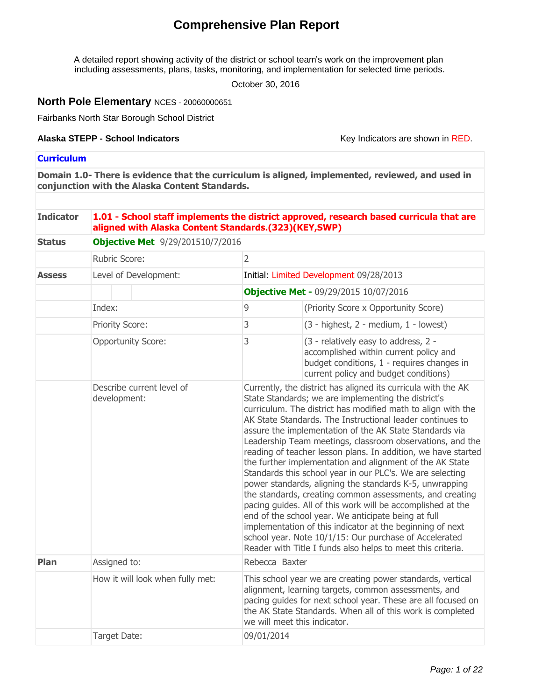# **Comprehensive Plan Report**

A detailed report showing activity of the district or school team's work on the improvement plan including assessments, plans, tasks, monitoring, and implementation for selected time periods.

October 30, 2016

## **North Pole Elementary** NCES - 20060000651

Fairbanks North Star Borough School District

#### **Alaska STEPP - School Indicators**

Key Indicators are shown in RED.

## **Curriculum**

**Domain 1.0- There is evidence that the curriculum is aligned, implemented, reviewed, and used in conjunction with the Alaska Content Standards.**

#### **Indicator 1.01 - School staff implements the district approved, research based curricula that are aligned with Alaska Content Standards.(323)(KEY,SWP)**

| <b>Status</b> | <b>Objective Met</b> 9/29/201510/7/2016   |                |                                                                                                                                                                                                                                                                                                                                                                                                                                                                                                                                                                                                                                                                                                                                                                                                                                                                                                                                                                                                        |  |  |  |  |
|---------------|-------------------------------------------|----------------|--------------------------------------------------------------------------------------------------------------------------------------------------------------------------------------------------------------------------------------------------------------------------------------------------------------------------------------------------------------------------------------------------------------------------------------------------------------------------------------------------------------------------------------------------------------------------------------------------------------------------------------------------------------------------------------------------------------------------------------------------------------------------------------------------------------------------------------------------------------------------------------------------------------------------------------------------------------------------------------------------------|--|--|--|--|
|               | Rubric Score:                             | $\overline{2}$ |                                                                                                                                                                                                                                                                                                                                                                                                                                                                                                                                                                                                                                                                                                                                                                                                                                                                                                                                                                                                        |  |  |  |  |
| <b>Assess</b> | Level of Development:                     |                | Initial: Limited Development 09/28/2013                                                                                                                                                                                                                                                                                                                                                                                                                                                                                                                                                                                                                                                                                                                                                                                                                                                                                                                                                                |  |  |  |  |
|               |                                           |                | <b>Objective Met - 09/29/2015 10/07/2016</b>                                                                                                                                                                                                                                                                                                                                                                                                                                                                                                                                                                                                                                                                                                                                                                                                                                                                                                                                                           |  |  |  |  |
|               | Index:                                    | 9              | (Priority Score x Opportunity Score)                                                                                                                                                                                                                                                                                                                                                                                                                                                                                                                                                                                                                                                                                                                                                                                                                                                                                                                                                                   |  |  |  |  |
|               | <b>Priority Score:</b>                    | 3              | $(3 - higher, 2 - medium, 1 - lowest)$                                                                                                                                                                                                                                                                                                                                                                                                                                                                                                                                                                                                                                                                                                                                                                                                                                                                                                                                                                 |  |  |  |  |
|               | <b>Opportunity Score:</b>                 | 3              | (3 - relatively easy to address, 2 -<br>accomplished within current policy and<br>budget conditions, 1 - requires changes in<br>current policy and budget conditions)                                                                                                                                                                                                                                                                                                                                                                                                                                                                                                                                                                                                                                                                                                                                                                                                                                  |  |  |  |  |
|               | Describe current level of<br>development: |                | Currently, the district has aligned its curricula with the AK<br>State Standards; we are implementing the district's<br>curriculum. The district has modified math to align with the<br>AK State Standards. The Instructional leader continues to<br>assure the implementation of the AK State Standards via<br>Leadership Team meetings, classroom observations, and the<br>reading of teacher lesson plans. In addition, we have started<br>the further implementation and alignment of the AK State<br>Standards this school year in our PLC's. We are selecting<br>power standards, aligning the standards K-5, unwrapping<br>the standards, creating common assessments, and creating<br>pacing guides. All of this work will be accomplished at the<br>end of the school year. We anticipate being at full<br>implementation of this indicator at the beginning of next<br>school year. Note 10/1/15: Our purchase of Accelerated<br>Reader with Title I funds also helps to meet this criteria. |  |  |  |  |
| Plan          | Assigned to:                              |                | Rebecca Baxter                                                                                                                                                                                                                                                                                                                                                                                                                                                                                                                                                                                                                                                                                                                                                                                                                                                                                                                                                                                         |  |  |  |  |
|               | How it will look when fully met:          |                | This school year we are creating power standards, vertical<br>alignment, learning targets, common assessments, and<br>pacing guides for next school year. These are all focused on<br>the AK State Standards. When all of this work is completed<br>we will meet this indicator.                                                                                                                                                                                                                                                                                                                                                                                                                                                                                                                                                                                                                                                                                                                       |  |  |  |  |
|               | Target Date:                              | 09/01/2014     |                                                                                                                                                                                                                                                                                                                                                                                                                                                                                                                                                                                                                                                                                                                                                                                                                                                                                                                                                                                                        |  |  |  |  |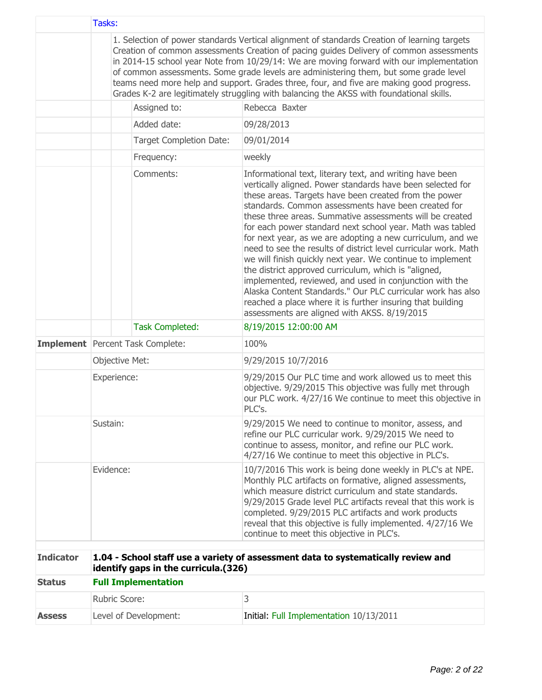|                  | Tasks:         |                                         |                                                                                                                                                                                                                                                                                                                                                                                                                                                                                                                                                                                                                                                                                                                                                                                                                                                                |  |  |
|------------------|----------------|-----------------------------------------|----------------------------------------------------------------------------------------------------------------------------------------------------------------------------------------------------------------------------------------------------------------------------------------------------------------------------------------------------------------------------------------------------------------------------------------------------------------------------------------------------------------------------------------------------------------------------------------------------------------------------------------------------------------------------------------------------------------------------------------------------------------------------------------------------------------------------------------------------------------|--|--|
|                  |                |                                         | 1. Selection of power standards Vertical alignment of standards Creation of learning targets<br>Creation of common assessments Creation of pacing guides Delivery of common assessments<br>in 2014-15 school year Note from 10/29/14: We are moving forward with our implementation<br>of common assessments. Some grade levels are administering them, but some grade level<br>teams need more help and support. Grades three, four, and five are making good progress.<br>Grades K-2 are legitimately struggling with balancing the AKSS with foundational skills.                                                                                                                                                                                                                                                                                           |  |  |
|                  |                | Assigned to:                            | Rebecca Baxter                                                                                                                                                                                                                                                                                                                                                                                                                                                                                                                                                                                                                                                                                                                                                                                                                                                 |  |  |
|                  |                | Added date:                             | 09/28/2013                                                                                                                                                                                                                                                                                                                                                                                                                                                                                                                                                                                                                                                                                                                                                                                                                                                     |  |  |
|                  |                | <b>Target Completion Date:</b>          | 09/01/2014                                                                                                                                                                                                                                                                                                                                                                                                                                                                                                                                                                                                                                                                                                                                                                                                                                                     |  |  |
|                  |                | Frequency:                              | weekly                                                                                                                                                                                                                                                                                                                                                                                                                                                                                                                                                                                                                                                                                                                                                                                                                                                         |  |  |
|                  |                | Comments:                               | Informational text, literary text, and writing have been<br>vertically aligned. Power standards have been selected for<br>these areas. Targets have been created from the power<br>standards. Common assessments have been created for<br>these three areas. Summative assessments will be created<br>for each power standard next school year. Math was tabled<br>for next year, as we are adopting a new curriculum, and we<br>need to see the results of district level curricular work. Math<br>we will finish quickly next year. We continue to implement<br>the district approved curriculum, which is "aligned,<br>implemented, reviewed, and used in conjunction with the<br>Alaska Content Standards." Our PLC curricular work has also<br>reached a place where it is further insuring that building<br>assessments are aligned with AKSS. 8/19/2015 |  |  |
|                  |                | <b>Task Completed:</b>                  | 8/19/2015 12:00:00 AM                                                                                                                                                                                                                                                                                                                                                                                                                                                                                                                                                                                                                                                                                                                                                                                                                                          |  |  |
|                  |                | <b>Implement</b> Percent Task Complete: | 100%                                                                                                                                                                                                                                                                                                                                                                                                                                                                                                                                                                                                                                                                                                                                                                                                                                                           |  |  |
|                  | Objective Met: |                                         | 9/29/2015 10/7/2016                                                                                                                                                                                                                                                                                                                                                                                                                                                                                                                                                                                                                                                                                                                                                                                                                                            |  |  |
|                  | Experience:    |                                         | 9/29/2015 Our PLC time and work allowed us to meet this<br>objective. 9/29/2015 This objective was fully met through<br>our PLC work. 4/27/16 We continue to meet this objective in<br>PLC's.                                                                                                                                                                                                                                                                                                                                                                                                                                                                                                                                                                                                                                                                  |  |  |
|                  | Sustain:       |                                         | 9/29/2015 We need to continue to monitor, assess, and<br>refine our PLC curricular work. 9/29/2015 We need to<br>continue to assess, monitor, and refine our PLC work.<br>4/27/16 We continue to meet this objective in PLC's.                                                                                                                                                                                                                                                                                                                                                                                                                                                                                                                                                                                                                                 |  |  |
|                  | Evidence:      |                                         | 10/7/2016 This work is being done weekly in PLC's at NPE.<br>Monthly PLC artifacts on formative, aligned assessments,<br>which measure district curriculum and state standards.<br>9/29/2015 Grade level PLC artifacts reveal that this work is<br>completed. 9/29/2015 PLC artifacts and work products<br>reveal that this objective is fully implemented. 4/27/16 We<br>continue to meet this objective in PLC's.                                                                                                                                                                                                                                                                                                                                                                                                                                            |  |  |
| <b>Indicator</b> |                | identify gaps in the curricula.(326)    | 1.04 - School staff use a variety of assessment data to systematically review and                                                                                                                                                                                                                                                                                                                                                                                                                                                                                                                                                                                                                                                                                                                                                                              |  |  |
| <b>Status</b>    |                | <b>Full Implementation</b>              |                                                                                                                                                                                                                                                                                                                                                                                                                                                                                                                                                                                                                                                                                                                                                                                                                                                                |  |  |
|                  | Rubric Score:  |                                         | 3                                                                                                                                                                                                                                                                                                                                                                                                                                                                                                                                                                                                                                                                                                                                                                                                                                                              |  |  |
| <b>Assess</b>    |                | Level of Development:                   | Initial: Full Implementation 10/13/2011                                                                                                                                                                                                                                                                                                                                                                                                                                                                                                                                                                                                                                                                                                                                                                                                                        |  |  |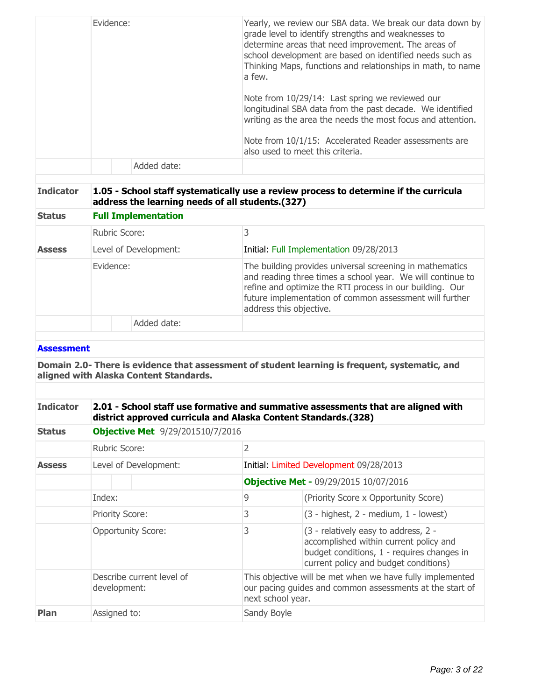| Thinking Maps, functions and relationships in math, to name<br>Added date: | a few.<br>Note from 10/29/14: Last spring we reviewed our<br>longitudinal SBA data from the past decade. We identified<br>writing as the area the needs the most focus and attention.<br>Note from 10/1/15: Accelerated Reader assessments are<br>also used to meet this criteria. |
|----------------------------------------------------------------------------|------------------------------------------------------------------------------------------------------------------------------------------------------------------------------------------------------------------------------------------------------------------------------------|
|                                                                            |                                                                                                                                                                                                                                                                                    |

## **Indicator 1.05 - School staff systematically use a review process to determine if the curricula address the learning needs of all students.(327)**

| <b>Status</b> | <b>Full Implementation</b> |                                                                                                                                                                                                                                                                          |  |  |  |
|---------------|----------------------------|--------------------------------------------------------------------------------------------------------------------------------------------------------------------------------------------------------------------------------------------------------------------------|--|--|--|
|               | <b>Rubric Score:</b>       |                                                                                                                                                                                                                                                                          |  |  |  |
| <b>Assess</b> | Level of Development:      | Initial: Full Implementation 09/28/2013                                                                                                                                                                                                                                  |  |  |  |
|               | Evidence:                  | The building provides universal screening in mathematics<br>and reading three times a school year. We will continue to<br>refine and optimize the RTI process in our building. Our<br>future implementation of common assessment will further<br>address this objective. |  |  |  |
|               | Added date:                |                                                                                                                                                                                                                                                                          |  |  |  |

#### **Assessment**

**Domain 2.0- There is evidence that assessment of student learning is frequent, systematic, and aligned with Alaska Content Standards.**

#### **Indicator 2.01 - School staff use formative and summative assessments that are aligned with district approved curricula and Alaska Content Standards.(328)**

| <b>Status</b> | <b>Objective Met</b> 9/29/201510/7/2016   |                                              |                                                                                                                                                                       |  |  |  |
|---------------|-------------------------------------------|----------------------------------------------|-----------------------------------------------------------------------------------------------------------------------------------------------------------------------|--|--|--|
|               | Rubric Score:                             | 2                                            |                                                                                                                                                                       |  |  |  |
| <b>Assess</b> | Level of Development:                     |                                              | Initial: Limited Development 09/28/2013                                                                                                                               |  |  |  |
|               |                                           | <b>Objective Met - 09/29/2015 10/07/2016</b> |                                                                                                                                                                       |  |  |  |
|               | Index:                                    | 9                                            | (Priority Score x Opportunity Score)                                                                                                                                  |  |  |  |
|               | <b>Priority Score:</b>                    | 3                                            | $(3 - highest, 2 - medium, 1 - lowest)$                                                                                                                               |  |  |  |
|               | <b>Opportunity Score:</b>                 | 3                                            | (3 - relatively easy to address, 2 -<br>accomplished within current policy and<br>budget conditions, 1 - requires changes in<br>current policy and budget conditions) |  |  |  |
|               | Describe current level of<br>development: |                                              | This objective will be met when we have fully implemented<br>our pacing guides and common assessments at the start of<br>next school year.                            |  |  |  |
| <b>Plan</b>   | Assigned to:                              | Sandy Boyle                                  |                                                                                                                                                                       |  |  |  |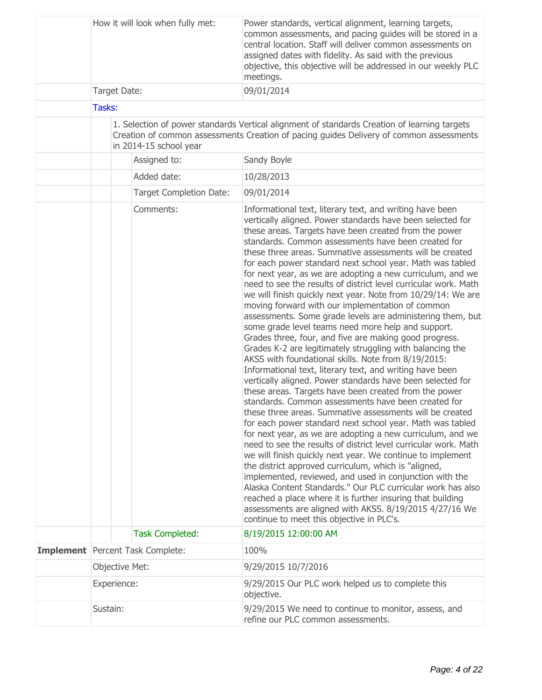|                |  | How it will look when fully met:                                  | Power standards, vertical alignment, learning targets,<br>common assessments, and pacing guides will be stored in a<br>central location. Staff will deliver common assessments on<br>assigned dates with fidelity. As said with the previous<br>objective, this objective will be addressed in our weekly PLC<br>meetings.                                                                                                                                                                                                                                                                                                                                                                                                                                                                                                                                                                                                                                                                                                                                                                                                                                                                                                                                                                                                                                                                                                                                                                                                                                                                                                                                                                                                                                                                                                                       |  |
|----------------|--|-------------------------------------------------------------------|--------------------------------------------------------------------------------------------------------------------------------------------------------------------------------------------------------------------------------------------------------------------------------------------------------------------------------------------------------------------------------------------------------------------------------------------------------------------------------------------------------------------------------------------------------------------------------------------------------------------------------------------------------------------------------------------------------------------------------------------------------------------------------------------------------------------------------------------------------------------------------------------------------------------------------------------------------------------------------------------------------------------------------------------------------------------------------------------------------------------------------------------------------------------------------------------------------------------------------------------------------------------------------------------------------------------------------------------------------------------------------------------------------------------------------------------------------------------------------------------------------------------------------------------------------------------------------------------------------------------------------------------------------------------------------------------------------------------------------------------------------------------------------------------------------------------------------------------------|--|
| Target Date:   |  |                                                                   | 09/01/2014                                                                                                                                                                                                                                                                                                                                                                                                                                                                                                                                                                                                                                                                                                                                                                                                                                                                                                                                                                                                                                                                                                                                                                                                                                                                                                                                                                                                                                                                                                                                                                                                                                                                                                                                                                                                                                       |  |
| Tasks:         |  |                                                                   |                                                                                                                                                                                                                                                                                                                                                                                                                                                                                                                                                                                                                                                                                                                                                                                                                                                                                                                                                                                                                                                                                                                                                                                                                                                                                                                                                                                                                                                                                                                                                                                                                                                                                                                                                                                                                                                  |  |
|                |  | in 2014-15 school year                                            | 1. Selection of power standards Vertical alignment of standards Creation of learning targets<br>Creation of common assessments Creation of pacing guides Delivery of common assessments                                                                                                                                                                                                                                                                                                                                                                                                                                                                                                                                                                                                                                                                                                                                                                                                                                                                                                                                                                                                                                                                                                                                                                                                                                                                                                                                                                                                                                                                                                                                                                                                                                                          |  |
|                |  | Assigned to:                                                      | Sandy Boyle                                                                                                                                                                                                                                                                                                                                                                                                                                                                                                                                                                                                                                                                                                                                                                                                                                                                                                                                                                                                                                                                                                                                                                                                                                                                                                                                                                                                                                                                                                                                                                                                                                                                                                                                                                                                                                      |  |
|                |  | Added date:                                                       | 10/28/2013                                                                                                                                                                                                                                                                                                                                                                                                                                                                                                                                                                                                                                                                                                                                                                                                                                                                                                                                                                                                                                                                                                                                                                                                                                                                                                                                                                                                                                                                                                                                                                                                                                                                                                                                                                                                                                       |  |
|                |  | <b>Target Completion Date:</b>                                    | 09/01/2014                                                                                                                                                                                                                                                                                                                                                                                                                                                                                                                                                                                                                                                                                                                                                                                                                                                                                                                                                                                                                                                                                                                                                                                                                                                                                                                                                                                                                                                                                                                                                                                                                                                                                                                                                                                                                                       |  |
|                |  | Comments:                                                         | Informational text, literary text, and writing have been<br>vertically aligned. Power standards have been selected for<br>these areas. Targets have been created from the power<br>standards. Common assessments have been created for<br>these three areas. Summative assessments will be created<br>for each power standard next school year. Math was tabled<br>for next year, as we are adopting a new curriculum, and we<br>need to see the results of district level curricular work. Math<br>we will finish quickly next year. Note from 10/29/14: We are<br>moving forward with our implementation of common<br>assessments. Some grade levels are administering them, but<br>some grade level teams need more help and support.<br>Grades three, four, and five are making good progress.<br>Grades K-2 are legitimately struggling with balancing the<br>AKSS with foundational skills. Note from 8/19/2015:<br>Informational text, literary text, and writing have been<br>vertically aligned. Power standards have been selected for<br>these areas. Targets have been created from the power<br>standards. Common assessments have been created for<br>these three areas. Summative assessments will be created<br>for each power standard next school year. Math was tabled<br>for next year, as we are adopting a new curriculum, and we<br>need to see the results of district level curricular work. Math<br>we will finish quickly next year. We continue to implement<br>the district approved curriculum, which is "aligned,<br>implemented, reviewed, and used in conjunction with the<br>Alaska Content Standards." Our PLC curricular work has also<br>reached a place where it is further insuring that building<br>assessments are aligned with AKSS. 8/19/2015 4/27/16 We<br>continue to meet this objective in PLC's. |  |
|                |  | <b>Task Completed:</b><br><b>Implement</b> Percent Task Complete: | 8/19/2015 12:00:00 AM<br>100%                                                                                                                                                                                                                                                                                                                                                                                                                                                                                                                                                                                                                                                                                                                                                                                                                                                                                                                                                                                                                                                                                                                                                                                                                                                                                                                                                                                                                                                                                                                                                                                                                                                                                                                                                                                                                    |  |
| Objective Met: |  |                                                                   | 9/29/2015 10/7/2016                                                                                                                                                                                                                                                                                                                                                                                                                                                                                                                                                                                                                                                                                                                                                                                                                                                                                                                                                                                                                                                                                                                                                                                                                                                                                                                                                                                                                                                                                                                                                                                                                                                                                                                                                                                                                              |  |
| Experience:    |  |                                                                   | 9/29/2015 Our PLC work helped us to complete this                                                                                                                                                                                                                                                                                                                                                                                                                                                                                                                                                                                                                                                                                                                                                                                                                                                                                                                                                                                                                                                                                                                                                                                                                                                                                                                                                                                                                                                                                                                                                                                                                                                                                                                                                                                                |  |
|                |  |                                                                   | objective.                                                                                                                                                                                                                                                                                                                                                                                                                                                                                                                                                                                                                                                                                                                                                                                                                                                                                                                                                                                                                                                                                                                                                                                                                                                                                                                                                                                                                                                                                                                                                                                                                                                                                                                                                                                                                                       |  |
| Sustain:       |  |                                                                   | 9/29/2015 We need to continue to monitor, assess, and<br>refine our PLC common assessments.                                                                                                                                                                                                                                                                                                                                                                                                                                                                                                                                                                                                                                                                                                                                                                                                                                                                                                                                                                                                                                                                                                                                                                                                                                                                                                                                                                                                                                                                                                                                                                                                                                                                                                                                                      |  |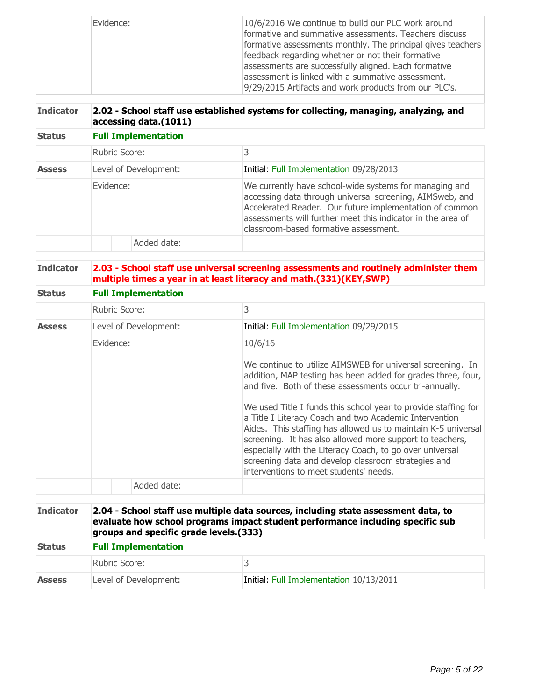|                  | Evidence:                              |                            | 10/6/2016 We continue to build our PLC work around<br>formative and summative assessments. Teachers discuss<br>formative assessments monthly. The principal gives teachers<br>feedback regarding whether or not their formative                                                                                                                                                                                                                                                                                                                                                                                        |  |  |  |
|------------------|----------------------------------------|----------------------------|------------------------------------------------------------------------------------------------------------------------------------------------------------------------------------------------------------------------------------------------------------------------------------------------------------------------------------------------------------------------------------------------------------------------------------------------------------------------------------------------------------------------------------------------------------------------------------------------------------------------|--|--|--|
|                  |                                        |                            | assessments are successfully aligned. Each formative<br>assessment is linked with a summative assessment.<br>9/29/2015 Artifacts and work products from our PLC's.                                                                                                                                                                                                                                                                                                                                                                                                                                                     |  |  |  |
| <b>Indicator</b> |                                        | accessing data.(1011)      | 2.02 - School staff use established systems for collecting, managing, analyzing, and                                                                                                                                                                                                                                                                                                                                                                                                                                                                                                                                   |  |  |  |
| <b>Status</b>    | <b>Full Implementation</b>             |                            |                                                                                                                                                                                                                                                                                                                                                                                                                                                                                                                                                                                                                        |  |  |  |
|                  | Rubric Score:                          |                            | 3                                                                                                                                                                                                                                                                                                                                                                                                                                                                                                                                                                                                                      |  |  |  |
| <b>Assess</b>    |                                        | Level of Development:      | Initial: Full Implementation 09/28/2013                                                                                                                                                                                                                                                                                                                                                                                                                                                                                                                                                                                |  |  |  |
|                  | Evidence:                              |                            | We currently have school-wide systems for managing and<br>accessing data through universal screening, AIMSweb, and<br>Accelerated Reader. Our future implementation of common<br>assessments will further meet this indicator in the area of<br>classroom-based formative assessment.                                                                                                                                                                                                                                                                                                                                  |  |  |  |
|                  |                                        | Added date:                |                                                                                                                                                                                                                                                                                                                                                                                                                                                                                                                                                                                                                        |  |  |  |
| <b>Indicator</b> |                                        |                            | 2.03 - School staff use universal screening assessments and routinely administer them<br>multiple times a year in at least literacy and math.(331)(KEY,SWP)                                                                                                                                                                                                                                                                                                                                                                                                                                                            |  |  |  |
| <b>Status</b>    | <b>Full Implementation</b>             |                            |                                                                                                                                                                                                                                                                                                                                                                                                                                                                                                                                                                                                                        |  |  |  |
|                  | Rubric Score:                          |                            | 3                                                                                                                                                                                                                                                                                                                                                                                                                                                                                                                                                                                                                      |  |  |  |
| <b>Assess</b>    |                                        | Level of Development:      | Initial: Full Implementation 09/29/2015                                                                                                                                                                                                                                                                                                                                                                                                                                                                                                                                                                                |  |  |  |
|                  | Evidence:                              |                            | 10/6/16<br>We continue to utilize AIMSWEB for universal screening. In<br>addition, MAP testing has been added for grades three, four,<br>and five. Both of these assessments occur tri-annually.<br>We used Title I funds this school year to provide staffing for<br>a Title I Literacy Coach and two Academic Intervention<br>Aides. This staffing has allowed us to maintain K-5 universal<br>screening. It has also allowed more support to teachers,<br>especially with the Literacy Coach, to go over universal<br>screening data and develop classroom strategies and<br>interventions to meet students' needs. |  |  |  |
|                  |                                        | Added date:                |                                                                                                                                                                                                                                                                                                                                                                                                                                                                                                                                                                                                                        |  |  |  |
| <b>Indicator</b> | groups and specific grade levels.(333) |                            | 2.04 - School staff use multiple data sources, including state assessment data, to<br>evaluate how school programs impact student performance including specific sub                                                                                                                                                                                                                                                                                                                                                                                                                                                   |  |  |  |
| <b>Status</b>    |                                        | <b>Full Implementation</b> |                                                                                                                                                                                                                                                                                                                                                                                                                                                                                                                                                                                                                        |  |  |  |
|                  | Rubric Score:                          |                            | 3                                                                                                                                                                                                                                                                                                                                                                                                                                                                                                                                                                                                                      |  |  |  |
| <b>Assess</b>    |                                        | Level of Development:      | Initial: Full Implementation 10/13/2011                                                                                                                                                                                                                                                                                                                                                                                                                                                                                                                                                                                |  |  |  |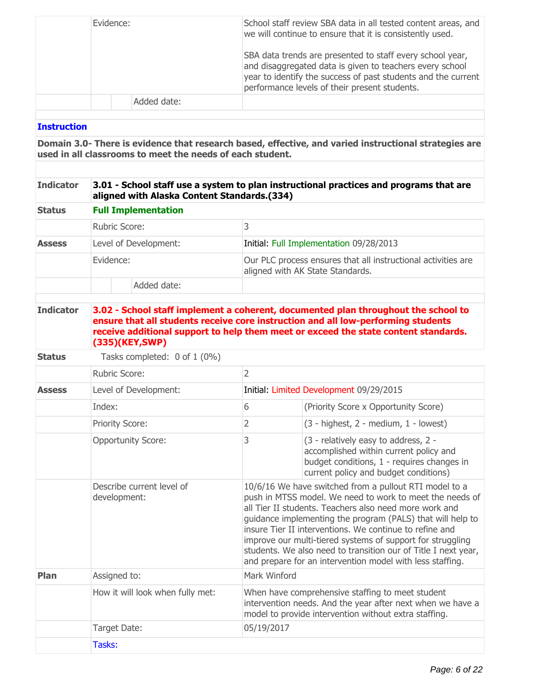| Evidence:   | School staff review SBA data in all tested content areas, and<br>we will continue to ensure that it is consistently used.<br>SBA data trends are presented to staff every school year,<br>and disaggregated data is given to teachers every school<br>year to identify the success of past students and the current<br>performance levels of their present students. |
|-------------|----------------------------------------------------------------------------------------------------------------------------------------------------------------------------------------------------------------------------------------------------------------------------------------------------------------------------------------------------------------------|
| Added date: |                                                                                                                                                                                                                                                                                                                                                                      |

## **Instruction**

**Domain 3.0- There is evidence that research based, effective, and varied instructional strategies are used in all classrooms to meet the needs of each student.**

#### **Indicator 3.01 - School staff use a system to plan instructional practices and programs that are aligned with Alaska Content Standards.(334)**

| <b>Status</b><br><b>Assess</b> | <b>Full Implementation</b> |                                                                                                   |
|--------------------------------|----------------------------|---------------------------------------------------------------------------------------------------|
|                                | Rubric Score:              |                                                                                                   |
|                                | Level of Development:      | Initial: Full Implementation 09/28/2013                                                           |
|                                | Evidence:                  | Our PLC process ensures that all instructional activities are<br>aligned with AK State Standards. |
|                                | Added date:                |                                                                                                   |

#### **Indicator 3.02 - School staff implement a coherent, documented plan throughout the school to ensure that all students receive core instruction and all low-performing students receive additional support to help them meet or exceed the state content standards. (335)(KEY,SWP)**

**Status** Tasks completed: 0 of 1 (0%)

|               | Rubric Score:                             | 2                                                                                                                                                                       |                                                                                                                                                                                                                                                                                                                                                                                                                                                                                                    |  |  |  |
|---------------|-------------------------------------------|-------------------------------------------------------------------------------------------------------------------------------------------------------------------------|----------------------------------------------------------------------------------------------------------------------------------------------------------------------------------------------------------------------------------------------------------------------------------------------------------------------------------------------------------------------------------------------------------------------------------------------------------------------------------------------------|--|--|--|
| <b>Assess</b> | Level of Development:                     | Initial: Limited Development 09/29/2015                                                                                                                                 |                                                                                                                                                                                                                                                                                                                                                                                                                                                                                                    |  |  |  |
|               | Index:                                    | 6                                                                                                                                                                       | (Priority Score x Opportunity Score)                                                                                                                                                                                                                                                                                                                                                                                                                                                               |  |  |  |
|               | <b>Priority Score:</b>                    | 2                                                                                                                                                                       | $(3 - highest, 2 - medium, 1 - lowest)$                                                                                                                                                                                                                                                                                                                                                                                                                                                            |  |  |  |
|               | <b>Opportunity Score:</b>                 | 3                                                                                                                                                                       | (3 - relatively easy to address, 2 -<br>accomplished within current policy and<br>budget conditions, 1 - requires changes in<br>current policy and budget conditions)                                                                                                                                                                                                                                                                                                                              |  |  |  |
|               | Describe current level of<br>development: |                                                                                                                                                                         | 10/6/16 We have switched from a pullout RTI model to a<br>push in MTSS model. We need to work to meet the needs of<br>all Tier II students. Teachers also need more work and<br>guidance implementing the program (PALS) that will help to<br>insure Tier II interventions. We continue to refine and<br>improve our multi-tiered systems of support for struggling<br>students. We also need to transition our of Title I next year,<br>and prepare for an intervention model with less staffing. |  |  |  |
| Plan          | Assigned to:                              | Mark Winford                                                                                                                                                            |                                                                                                                                                                                                                                                                                                                                                                                                                                                                                                    |  |  |  |
|               | How it will look when fully met:          | When have comprehensive staffing to meet student<br>intervention needs. And the year after next when we have a<br>model to provide intervention without extra staffing. |                                                                                                                                                                                                                                                                                                                                                                                                                                                                                                    |  |  |  |
|               | Target Date:<br>05/19/2017                |                                                                                                                                                                         |                                                                                                                                                                                                                                                                                                                                                                                                                                                                                                    |  |  |  |
|               | Tasks:                                    |                                                                                                                                                                         |                                                                                                                                                                                                                                                                                                                                                                                                                                                                                                    |  |  |  |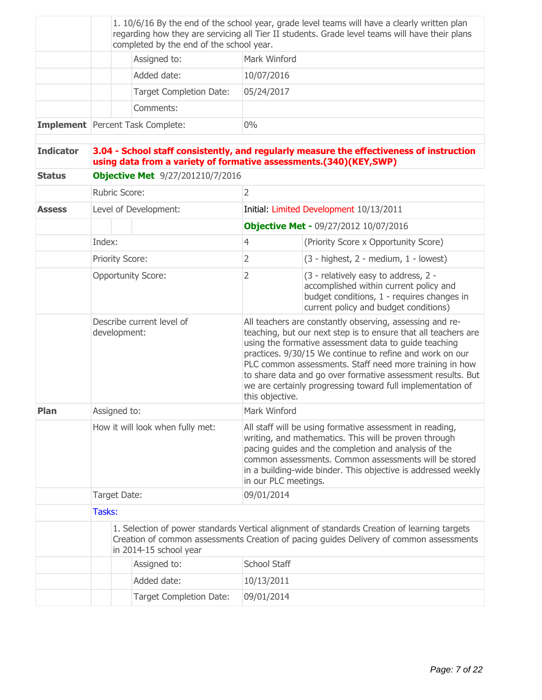|                  |                                                                                                                                            |  |                                         |                                                                                                                                                                                                                                                                                                                             | 1. 10/6/16 By the end of the school year, grade level teams will have a clearly written plan                                                                                                                                                                                                                                                                                                                                            |  |  |
|------------------|--------------------------------------------------------------------------------------------------------------------------------------------|--|-----------------------------------------|-----------------------------------------------------------------------------------------------------------------------------------------------------------------------------------------------------------------------------------------------------------------------------------------------------------------------------|-----------------------------------------------------------------------------------------------------------------------------------------------------------------------------------------------------------------------------------------------------------------------------------------------------------------------------------------------------------------------------------------------------------------------------------------|--|--|
|                  | regarding how they are servicing all Tier II students. Grade level teams will have their plans<br>completed by the end of the school year. |  |                                         |                                                                                                                                                                                                                                                                                                                             |                                                                                                                                                                                                                                                                                                                                                                                                                                         |  |  |
|                  |                                                                                                                                            |  | Assigned to:                            | Mark Winford                                                                                                                                                                                                                                                                                                                |                                                                                                                                                                                                                                                                                                                                                                                                                                         |  |  |
|                  |                                                                                                                                            |  | Added date:                             | 10/07/2016                                                                                                                                                                                                                                                                                                                  |                                                                                                                                                                                                                                                                                                                                                                                                                                         |  |  |
|                  |                                                                                                                                            |  | <b>Target Completion Date:</b>          | 05/24/2017                                                                                                                                                                                                                                                                                                                  |                                                                                                                                                                                                                                                                                                                                                                                                                                         |  |  |
|                  |                                                                                                                                            |  | Comments:                               |                                                                                                                                                                                                                                                                                                                             |                                                                                                                                                                                                                                                                                                                                                                                                                                         |  |  |
|                  |                                                                                                                                            |  | <b>Implement</b> Percent Task Complete: | 0%                                                                                                                                                                                                                                                                                                                          |                                                                                                                                                                                                                                                                                                                                                                                                                                         |  |  |
| <b>Indicator</b> | using data from a variety of formative assessments.(340)(KEY,SWP)                                                                          |  |                                         | 3.04 - School staff consistently, and regularly measure the effectiveness of instruction                                                                                                                                                                                                                                    |                                                                                                                                                                                                                                                                                                                                                                                                                                         |  |  |
| <b>Status</b>    |                                                                                                                                            |  | <b>Objective Met</b> 9/27/201210/7/2016 |                                                                                                                                                                                                                                                                                                                             |                                                                                                                                                                                                                                                                                                                                                                                                                                         |  |  |
|                  | Rubric Score:                                                                                                                              |  |                                         | $\overline{2}$                                                                                                                                                                                                                                                                                                              |                                                                                                                                                                                                                                                                                                                                                                                                                                         |  |  |
| <b>Assess</b>    |                                                                                                                                            |  | Level of Development:                   |                                                                                                                                                                                                                                                                                                                             | Initial: Limited Development 10/13/2011                                                                                                                                                                                                                                                                                                                                                                                                 |  |  |
|                  |                                                                                                                                            |  |                                         |                                                                                                                                                                                                                                                                                                                             | <b>Objective Met - 09/27/2012 10/07/2016</b>                                                                                                                                                                                                                                                                                                                                                                                            |  |  |
|                  | Index:                                                                                                                                     |  |                                         | $\overline{4}$                                                                                                                                                                                                                                                                                                              | (Priority Score x Opportunity Score)                                                                                                                                                                                                                                                                                                                                                                                                    |  |  |
|                  | <b>Priority Score:</b>                                                                                                                     |  |                                         | $\overline{2}$                                                                                                                                                                                                                                                                                                              | $(3 - highest, 2 - medium, 1 - lowest)$                                                                                                                                                                                                                                                                                                                                                                                                 |  |  |
|                  | <b>Opportunity Score:</b>                                                                                                                  |  |                                         | $\overline{2}$                                                                                                                                                                                                                                                                                                              | (3 - relatively easy to address, 2 -<br>accomplished within current policy and<br>budget conditions, 1 - requires changes in<br>current policy and budget conditions)                                                                                                                                                                                                                                                                   |  |  |
|                  | Describe current level of<br>development:                                                                                                  |  |                                         | this objective.                                                                                                                                                                                                                                                                                                             | All teachers are constantly observing, assessing and re-<br>teaching, but our next step is to ensure that all teachers are<br>using the formative assessment data to guide teaching<br>practices. 9/30/15 We continue to refine and work on our<br>PLC common assessments. Staff need more training in how<br>to share data and go over formative assessment results. But<br>we are certainly progressing toward full implementation of |  |  |
| Plan             | Assigned to:                                                                                                                               |  |                                         | Mark Winford                                                                                                                                                                                                                                                                                                                |                                                                                                                                                                                                                                                                                                                                                                                                                                         |  |  |
|                  | How it will look when fully met:                                                                                                           |  |                                         | All staff will be using formative assessment in reading,<br>writing, and mathematics. This will be proven through<br>pacing guides and the completion and analysis of the<br>common assessments. Common assessments will be stored<br>in a building-wide binder. This objective is addressed weekly<br>in our PLC meetings. |                                                                                                                                                                                                                                                                                                                                                                                                                                         |  |  |
|                  | Target Date:                                                                                                                               |  |                                         | 09/01/2014                                                                                                                                                                                                                                                                                                                  |                                                                                                                                                                                                                                                                                                                                                                                                                                         |  |  |
|                  | Tasks:                                                                                                                                     |  |                                         |                                                                                                                                                                                                                                                                                                                             |                                                                                                                                                                                                                                                                                                                                                                                                                                         |  |  |
|                  | in 2014-15 school year                                                                                                                     |  |                                         |                                                                                                                                                                                                                                                                                                                             | 1. Selection of power standards Vertical alignment of standards Creation of learning targets<br>Creation of common assessments Creation of pacing guides Delivery of common assessments                                                                                                                                                                                                                                                 |  |  |
|                  |                                                                                                                                            |  | Assigned to:                            | School Staff                                                                                                                                                                                                                                                                                                                |                                                                                                                                                                                                                                                                                                                                                                                                                                         |  |  |
|                  |                                                                                                                                            |  | Added date:                             | 10/13/2011                                                                                                                                                                                                                                                                                                                  |                                                                                                                                                                                                                                                                                                                                                                                                                                         |  |  |
|                  |                                                                                                                                            |  | <b>Target Completion Date:</b>          | 09/01/2014                                                                                                                                                                                                                                                                                                                  |                                                                                                                                                                                                                                                                                                                                                                                                                                         |  |  |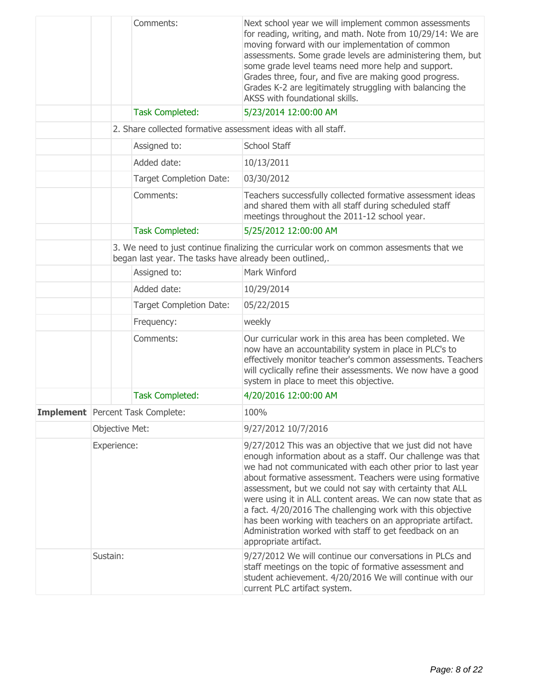|                                         | Comments:                                                     | Next school year we will implement common assessments<br>for reading, writing, and math. Note from 10/29/14: We are<br>moving forward with our implementation of common<br>assessments. Some grade levels are administering them, but<br>some grade level teams need more help and support.<br>Grades three, four, and five are making good progress.<br>Grades K-2 are legitimately struggling with balancing the<br>AKSS with foundational skills.                                                                                                                                           |
|-----------------------------------------|---------------------------------------------------------------|------------------------------------------------------------------------------------------------------------------------------------------------------------------------------------------------------------------------------------------------------------------------------------------------------------------------------------------------------------------------------------------------------------------------------------------------------------------------------------------------------------------------------------------------------------------------------------------------|
|                                         | <b>Task Completed:</b>                                        | 5/23/2014 12:00:00 AM                                                                                                                                                                                                                                                                                                                                                                                                                                                                                                                                                                          |
|                                         | 2. Share collected formative assessment ideas with all staff. |                                                                                                                                                                                                                                                                                                                                                                                                                                                                                                                                                                                                |
|                                         | Assigned to:                                                  | School Staff                                                                                                                                                                                                                                                                                                                                                                                                                                                                                                                                                                                   |
|                                         | Added date:                                                   | 10/13/2011                                                                                                                                                                                                                                                                                                                                                                                                                                                                                                                                                                                     |
|                                         | <b>Target Completion Date:</b>                                | 03/30/2012                                                                                                                                                                                                                                                                                                                                                                                                                                                                                                                                                                                     |
|                                         | Comments:                                                     | Teachers successfully collected formative assessment ideas<br>and shared them with all staff during scheduled staff<br>meetings throughout the 2011-12 school year.                                                                                                                                                                                                                                                                                                                                                                                                                            |
|                                         | <b>Task Completed:</b>                                        | 5/25/2012 12:00:00 AM                                                                                                                                                                                                                                                                                                                                                                                                                                                                                                                                                                          |
|                                         | began last year. The tasks have already been outlined,.       | 3. We need to just continue finalizing the curricular work on common assesments that we                                                                                                                                                                                                                                                                                                                                                                                                                                                                                                        |
|                                         | Assigned to:                                                  | Mark Winford                                                                                                                                                                                                                                                                                                                                                                                                                                                                                                                                                                                   |
|                                         | Added date:                                                   | 10/29/2014                                                                                                                                                                                                                                                                                                                                                                                                                                                                                                                                                                                     |
|                                         | <b>Target Completion Date:</b>                                | 05/22/2015                                                                                                                                                                                                                                                                                                                                                                                                                                                                                                                                                                                     |
|                                         | Frequency:                                                    | weekly                                                                                                                                                                                                                                                                                                                                                                                                                                                                                                                                                                                         |
|                                         | Comments:                                                     | Our curricular work in this area has been completed. We<br>now have an accountability system in place in PLC's to<br>effectively monitor teacher's common assessments. Teachers<br>will cyclically refine their assessments. We now have a good<br>system in place to meet this objective.                                                                                                                                                                                                                                                                                                     |
|                                         | <b>Task Completed:</b>                                        | 4/20/2016 12:00:00 AM                                                                                                                                                                                                                                                                                                                                                                                                                                                                                                                                                                          |
| <b>Implement</b> Percent Task Complete: |                                                               | 100%                                                                                                                                                                                                                                                                                                                                                                                                                                                                                                                                                                                           |
| Objective Met:                          |                                                               | 9/27/2012 10/7/2016                                                                                                                                                                                                                                                                                                                                                                                                                                                                                                                                                                            |
| Experience:                             |                                                               | 9/27/2012 This was an objective that we just did not have<br>enough information about as a staff. Our challenge was that<br>we had not communicated with each other prior to last year<br>about formative assessment. Teachers were using formative<br>assessment, but we could not say with certainty that ALL<br>were using it in ALL content areas. We can now state that as<br>a fact. 4/20/2016 The challenging work with this objective<br>has been working with teachers on an appropriate artifact.<br>Administration worked with staff to get feedback on an<br>appropriate artifact. |
| Sustain:                                |                                                               | 9/27/2012 We will continue our conversations in PLCs and<br>staff meetings on the topic of formative assessment and<br>student achievement. 4/20/2016 We will continue with our<br>current PLC artifact system.                                                                                                                                                                                                                                                                                                                                                                                |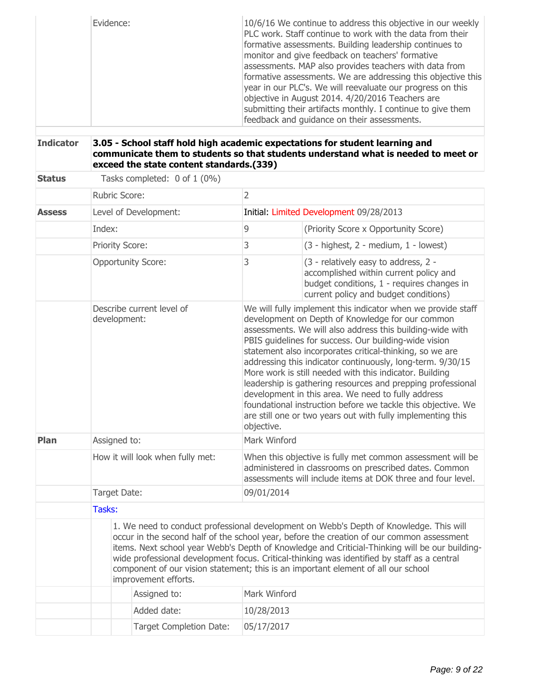| Evidence: | 10/6/16 We continue to address this objective in our weekly<br>PLC work. Staff continue to work with the data from their<br>formative assessments. Building leadership continues to<br>monitor and give feedback on teachers' formative<br>assessments. MAP also provides teachers with data from<br>formative assessments. We are addressing this objective this<br>year in our PLC's. We will reevaluate our progress on this<br>objective in August 2014. 4/20/2016 Teachers are<br>submitting their artifacts monthly. I continue to give them<br>feedback and quidance on their assessments. |
|-----------|---------------------------------------------------------------------------------------------------------------------------------------------------------------------------------------------------------------------------------------------------------------------------------------------------------------------------------------------------------------------------------------------------------------------------------------------------------------------------------------------------------------------------------------------------------------------------------------------------|
|-----------|---------------------------------------------------------------------------------------------------------------------------------------------------------------------------------------------------------------------------------------------------------------------------------------------------------------------------------------------------------------------------------------------------------------------------------------------------------------------------------------------------------------------------------------------------------------------------------------------------|

# **Indicator 3.05 - School staff hold high academic expectations for student learning and communicate them to students so that students understand what is needed to meet or exceed the state content standards.(339)**

| <b>Status</b> | Tasks completed: 0 of 1 (0%)              |                                  |                                                                                                                                                                                                                                                                                                                                                                                                                                                                                                                                                                                                                                                                                               |                                                                                                                                                                                                                                                                                                                                                                                                                                                                           |  |  |
|---------------|-------------------------------------------|----------------------------------|-----------------------------------------------------------------------------------------------------------------------------------------------------------------------------------------------------------------------------------------------------------------------------------------------------------------------------------------------------------------------------------------------------------------------------------------------------------------------------------------------------------------------------------------------------------------------------------------------------------------------------------------------------------------------------------------------|---------------------------------------------------------------------------------------------------------------------------------------------------------------------------------------------------------------------------------------------------------------------------------------------------------------------------------------------------------------------------------------------------------------------------------------------------------------------------|--|--|
|               | Rubric Score:                             |                                  | $\overline{2}$                                                                                                                                                                                                                                                                                                                                                                                                                                                                                                                                                                                                                                                                                |                                                                                                                                                                                                                                                                                                                                                                                                                                                                           |  |  |
| <b>Assess</b> |                                           | Level of Development:            |                                                                                                                                                                                                                                                                                                                                                                                                                                                                                                                                                                                                                                                                                               | Initial: Limited Development 09/28/2013                                                                                                                                                                                                                                                                                                                                                                                                                                   |  |  |
|               | Index:                                    |                                  | 9                                                                                                                                                                                                                                                                                                                                                                                                                                                                                                                                                                                                                                                                                             | (Priority Score x Opportunity Score)                                                                                                                                                                                                                                                                                                                                                                                                                                      |  |  |
|               | <b>Priority Score:</b>                    |                                  | 3                                                                                                                                                                                                                                                                                                                                                                                                                                                                                                                                                                                                                                                                                             | $(3 - highest, 2 - medium, 1 - lowest)$                                                                                                                                                                                                                                                                                                                                                                                                                                   |  |  |
|               | <b>Opportunity Score:</b>                 |                                  | 3                                                                                                                                                                                                                                                                                                                                                                                                                                                                                                                                                                                                                                                                                             | (3 - relatively easy to address, 2 -<br>accomplished within current policy and<br>budget conditions, 1 - requires changes in<br>current policy and budget conditions)                                                                                                                                                                                                                                                                                                     |  |  |
|               | Describe current level of<br>development: |                                  | We will fully implement this indicator when we provide staff<br>development on Depth of Knowledge for our common<br>assessments. We will also address this building-wide with<br>PBIS guidelines for success. Our building-wide vision<br>statement also incorporates critical-thinking, so we are<br>addressing this indicator continuously, long-term. 9/30/15<br>More work is still needed with this indicator. Building<br>leadership is gathering resources and prepping professional<br>development in this area. We need to fully address<br>foundational instruction before we tackle this objective. We<br>are still one or two years out with fully implementing this<br>objective. |                                                                                                                                                                                                                                                                                                                                                                                                                                                                           |  |  |
| Plan          | Assigned to:                              |                                  | Mark Winford                                                                                                                                                                                                                                                                                                                                                                                                                                                                                                                                                                                                                                                                                  |                                                                                                                                                                                                                                                                                                                                                                                                                                                                           |  |  |
|               |                                           | How it will look when fully met: | When this objective is fully met common assessment will be<br>administered in classrooms on prescribed dates. Common<br>assessments will include items at DOK three and four level.                                                                                                                                                                                                                                                                                                                                                                                                                                                                                                           |                                                                                                                                                                                                                                                                                                                                                                                                                                                                           |  |  |
|               | Target Date:                              |                                  | 09/01/2014                                                                                                                                                                                                                                                                                                                                                                                                                                                                                                                                                                                                                                                                                    |                                                                                                                                                                                                                                                                                                                                                                                                                                                                           |  |  |
|               | Tasks:                                    |                                  |                                                                                                                                                                                                                                                                                                                                                                                                                                                                                                                                                                                                                                                                                               |                                                                                                                                                                                                                                                                                                                                                                                                                                                                           |  |  |
|               | improvement efforts.                      |                                  |                                                                                                                                                                                                                                                                                                                                                                                                                                                                                                                                                                                                                                                                                               | 1. We need to conduct professional development on Webb's Depth of Knowledge. This will<br>occur in the second half of the school year, before the creation of our common assessment<br>items. Next school year Webb's Depth of Knowledge and Criticial-Thinking will be our building-<br>wide professional development focus. Critical-thinking was identified by staff as a central<br>component of our vision statement; this is an important element of all our school |  |  |
|               |                                           | Assigned to:                     | Mark Winford                                                                                                                                                                                                                                                                                                                                                                                                                                                                                                                                                                                                                                                                                  |                                                                                                                                                                                                                                                                                                                                                                                                                                                                           |  |  |
|               |                                           | Added date:                      | 10/28/2013                                                                                                                                                                                                                                                                                                                                                                                                                                                                                                                                                                                                                                                                                    |                                                                                                                                                                                                                                                                                                                                                                                                                                                                           |  |  |
|               |                                           | <b>Target Completion Date:</b>   | 05/17/2017                                                                                                                                                                                                                                                                                                                                                                                                                                                                                                                                                                                                                                                                                    |                                                                                                                                                                                                                                                                                                                                                                                                                                                                           |  |  |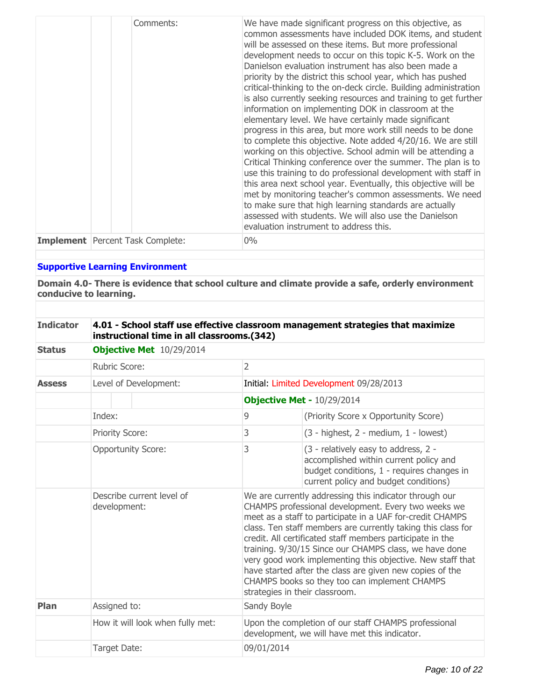| Comments:                               | We have made significant progress on this objective, as<br>common assessments have included DOK items, and student<br>will be assessed on these items. But more professional<br>development needs to occur on this topic K-5. Work on the<br>Danielson evaluation instrument has also been made a<br>priority by the district this school year, which has pushed<br>critical-thinking to the on-deck circle. Building administration<br>is also currently seeking resources and training to get further<br>information on implementing DOK in classroom at the<br>elementary level. We have certainly made significant<br>progress in this area, but more work still needs to be done<br>to complete this objective. Note added 4/20/16. We are still<br>working on this objective. School admin will be attending a<br>Critical Thinking conference over the summer. The plan is to<br>use this training to do professional development with staff in<br>this area next school year. Eventually, this objective will be<br>met by monitoring teacher's common assessments. We need<br>to make sure that high learning standards are actually<br>assessed with students. We will also use the Danielson<br>evaluation instrument to address this. |
|-----------------------------------------|---------------------------------------------------------------------------------------------------------------------------------------------------------------------------------------------------------------------------------------------------------------------------------------------------------------------------------------------------------------------------------------------------------------------------------------------------------------------------------------------------------------------------------------------------------------------------------------------------------------------------------------------------------------------------------------------------------------------------------------------------------------------------------------------------------------------------------------------------------------------------------------------------------------------------------------------------------------------------------------------------------------------------------------------------------------------------------------------------------------------------------------------------------------------------------------------------------------------------------------------------|
| <b>Implement</b> Percent Task Complete: | $0\%$                                                                                                                                                                                                                                                                                                                                                                                                                                                                                                                                                                                                                                                                                                                                                                                                                                                                                                                                                                                                                                                                                                                                                                                                                                             |

# **Supportive Learning Environment**

**Domain 4.0- There is evidence that school culture and climate provide a safe, orderly environment conducive to learning.**

| <b>Indicator</b> | 4.01 - School staff use effective classroom management strategies that maximize |
|------------------|---------------------------------------------------------------------------------|
|                  | instructional time in all classrooms.(342)                                      |

| <b>Status</b> | Objective Met 10/29/2014                  |                |                                                                                                                                                                                                                                                                                                                                                                                                                                                                                                                                                                                |  |  |
|---------------|-------------------------------------------|----------------|--------------------------------------------------------------------------------------------------------------------------------------------------------------------------------------------------------------------------------------------------------------------------------------------------------------------------------------------------------------------------------------------------------------------------------------------------------------------------------------------------------------------------------------------------------------------------------|--|--|
|               | Rubric Score:                             | $\overline{2}$ |                                                                                                                                                                                                                                                                                                                                                                                                                                                                                                                                                                                |  |  |
| <b>Assess</b> | Level of Development:                     |                | Initial: Limited Development 09/28/2013                                                                                                                                                                                                                                                                                                                                                                                                                                                                                                                                        |  |  |
|               |                                           |                | Objective Met - 10/29/2014                                                                                                                                                                                                                                                                                                                                                                                                                                                                                                                                                     |  |  |
|               | Index:                                    | 9              | (Priority Score x Opportunity Score)                                                                                                                                                                                                                                                                                                                                                                                                                                                                                                                                           |  |  |
|               | <b>Priority Score:</b>                    | 3              | $(3 - highest, 2 - medium, 1 - lowest)$                                                                                                                                                                                                                                                                                                                                                                                                                                                                                                                                        |  |  |
|               | <b>Opportunity Score:</b>                 | 3              | (3 - relatively easy to address, 2 -<br>accomplished within current policy and<br>budget conditions, 1 - requires changes in<br>current policy and budget conditions)                                                                                                                                                                                                                                                                                                                                                                                                          |  |  |
|               | Describe current level of<br>development: |                | We are currently addressing this indicator through our<br>CHAMPS professional development. Every two weeks we<br>meet as a staff to participate in a UAF for-credit CHAMPS<br>class. Ten staff members are currently taking this class for<br>credit. All certificated staff members participate in the<br>training. 9/30/15 Since our CHAMPS class, we have done<br>very good work implementing this objective. New staff that<br>have started after the class are given new copies of the<br>CHAMPS books so they too can implement CHAMPS<br>strategies in their classroom. |  |  |
| Plan          | Assigned to:                              | Sandy Boyle    |                                                                                                                                                                                                                                                                                                                                                                                                                                                                                                                                                                                |  |  |
|               | How it will look when fully met:          |                | Upon the completion of our staff CHAMPS professional<br>development, we will have met this indicator.                                                                                                                                                                                                                                                                                                                                                                                                                                                                          |  |  |
|               | Target Date:                              |                | 09/01/2014                                                                                                                                                                                                                                                                                                                                                                                                                                                                                                                                                                     |  |  |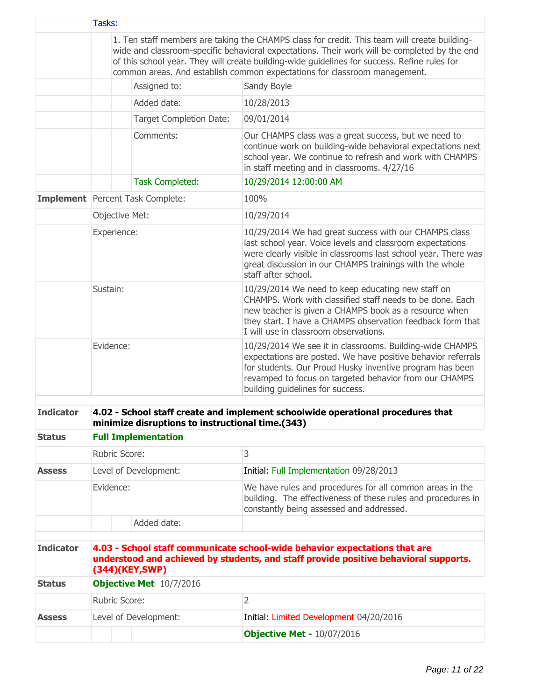|                  | Tasks:         |                                                  |                                                                                                                                                                                                                                                                                                                                                                           |
|------------------|----------------|--------------------------------------------------|---------------------------------------------------------------------------------------------------------------------------------------------------------------------------------------------------------------------------------------------------------------------------------------------------------------------------------------------------------------------------|
|                  |                |                                                  | 1. Ten staff members are taking the CHAMPS class for credit. This team will create building-<br>wide and classroom-specific behavioral expectations. Their work will be completed by the end<br>of this school year. They will create building-wide guidelines for success. Refine rules for<br>common areas. And establish common expectations for classroom management. |
|                  |                | Assigned to:                                     | Sandy Boyle                                                                                                                                                                                                                                                                                                                                                               |
|                  |                | Added date:                                      | 10/28/2013                                                                                                                                                                                                                                                                                                                                                                |
|                  |                | <b>Target Completion Date:</b>                   | 09/01/2014                                                                                                                                                                                                                                                                                                                                                                |
|                  |                | Comments:                                        | Our CHAMPS class was a great success, but we need to<br>continue work on building-wide behavioral expectations next<br>school year. We continue to refresh and work with CHAMPS<br>in staff meeting and in classrooms. 4/27/16                                                                                                                                            |
|                  |                | <b>Task Completed:</b>                           | 10/29/2014 12:00:00 AM                                                                                                                                                                                                                                                                                                                                                    |
|                  |                | <b>Implement</b> Percent Task Complete:          | 100%                                                                                                                                                                                                                                                                                                                                                                      |
|                  | Objective Met: |                                                  | 10/29/2014                                                                                                                                                                                                                                                                                                                                                                |
|                  | Experience:    |                                                  | 10/29/2014 We had great success with our CHAMPS class<br>last school year. Voice levels and classroom expectations<br>were clearly visible in classrooms last school year. There was<br>great discussion in our CHAMPS trainings with the whole<br>staff after school.                                                                                                    |
|                  | Sustain:       |                                                  | 10/29/2014 We need to keep educating new staff on<br>CHAMPS. Work with classified staff needs to be done. Each<br>new teacher is given a CHAMPS book as a resource when<br>they start. I have a CHAMPS observation feedback form that<br>I will use in classroom observations.                                                                                            |
|                  | Evidence:      |                                                  | 10/29/2014 We see it in classrooms. Building-wide CHAMPS<br>expectations are posted. We have positive behavior referrals<br>for students. Our Proud Husky inventive program has been<br>revamped to focus on targeted behavior from our CHAMPS<br>building guidelines for success.                                                                                        |
| <b>Indicator</b> |                |                                                  | 4.02 - School staff create and implement schoolwide operational procedures that                                                                                                                                                                                                                                                                                           |
|                  |                | minimize disruptions to instructional time.(343) |                                                                                                                                                                                                                                                                                                                                                                           |
| <b>Status</b>    |                | <b>Full Implementation</b>                       |                                                                                                                                                                                                                                                                                                                                                                           |
|                  | Rubric Score:  |                                                  | 3                                                                                                                                                                                                                                                                                                                                                                         |
| <b>Assess</b>    |                | Level of Development:                            | Initial: Full Implementation 09/28/2013                                                                                                                                                                                                                                                                                                                                   |
|                  | Evidence:      |                                                  | We have rules and procedures for all common areas in the<br>building. The effectiveness of these rules and procedures in<br>constantly being assessed and addressed.                                                                                                                                                                                                      |
|                  |                | Added date:                                      |                                                                                                                                                                                                                                                                                                                                                                           |
|                  |                |                                                  |                                                                                                                                                                                                                                                                                                                                                                           |
| <b>Indicator</b> |                | (344)(KEY,SWP)                                   | 4.03 - School staff communicate school-wide behavior expectations that are<br>understood and achieved by students, and staff provide positive behavioral supports.                                                                                                                                                                                                        |
| <b>Status</b>    |                | <b>Objective Met</b> 10/7/2016                   |                                                                                                                                                                                                                                                                                                                                                                           |
|                  | Rubric Score:  |                                                  | $\overline{2}$                                                                                                                                                                                                                                                                                                                                                            |
| <b>Assess</b>    |                | Level of Development:                            | Initial: Limited Development 04/20/2016                                                                                                                                                                                                                                                                                                                                   |
|                  |                |                                                  | <b>Objective Met - 10/07/2016</b>                                                                                                                                                                                                                                                                                                                                         |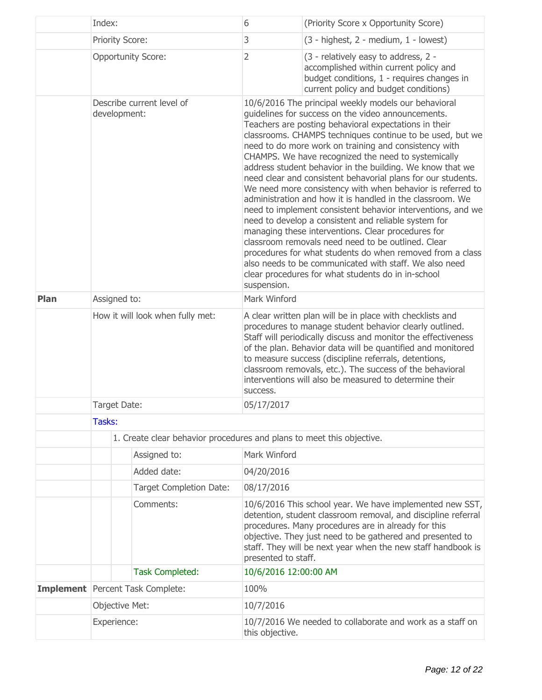|                                           | Index:                                           |                                                                       | 6                                                                                                                                                                                                                                                                                                                                                                                                                                                                                                                                                                                                                                                                                                                                                                                                                                                                                                                                                                                                                        | (Priority Score x Opportunity Score)                                                                                                                                                                                                                                                                                                                                                                                                |  |
|-------------------------------------------|--------------------------------------------------|-----------------------------------------------------------------------|--------------------------------------------------------------------------------------------------------------------------------------------------------------------------------------------------------------------------------------------------------------------------------------------------------------------------------------------------------------------------------------------------------------------------------------------------------------------------------------------------------------------------------------------------------------------------------------------------------------------------------------------------------------------------------------------------------------------------------------------------------------------------------------------------------------------------------------------------------------------------------------------------------------------------------------------------------------------------------------------------------------------------|-------------------------------------------------------------------------------------------------------------------------------------------------------------------------------------------------------------------------------------------------------------------------------------------------------------------------------------------------------------------------------------------------------------------------------------|--|
|                                           | <b>Priority Score:</b>                           |                                                                       | 3                                                                                                                                                                                                                                                                                                                                                                                                                                                                                                                                                                                                                                                                                                                                                                                                                                                                                                                                                                                                                        | (3 - highest, 2 - medium, 1 - lowest)                                                                                                                                                                                                                                                                                                                                                                                               |  |
|                                           | <b>Opportunity Score:</b>                        |                                                                       | $\overline{2}$                                                                                                                                                                                                                                                                                                                                                                                                                                                                                                                                                                                                                                                                                                                                                                                                                                                                                                                                                                                                           | (3 - relatively easy to address, 2 -<br>accomplished within current policy and<br>budget conditions, 1 - requires changes in<br>current policy and budget conditions)                                                                                                                                                                                                                                                               |  |
| Describe current level of<br>development: |                                                  | suspension.                                                           | 10/6/2016 The principal weekly models our behavioral<br>guidelines for success on the video announcements.<br>Teachers are posting behavioral expectations in their<br>classrooms. CHAMPS techniques continue to be used, but we<br>need to do more work on training and consistency with<br>CHAMPS. We have recognized the need to systemically<br>address student behavior in the building. We know that we<br>need clear and consistent behavorial plans for our students.<br>We need more consistency with when behavior is referred to<br>administration and how it is handled in the classroom. We<br>need to implement consistent behavior interventions, and we<br>need to develop a consistent and reliable system for<br>managing these interventions. Clear procedures for<br>classroom removals need need to be outlined. Clear<br>procedures for what students do when removed from a class<br>also needs to be communicated with staff. We also need<br>clear procedures for what students do in in-school |                                                                                                                                                                                                                                                                                                                                                                                                                                     |  |
| <b>Plan</b>                               | Assigned to:<br>How it will look when fully met: |                                                                       | Mark Winford                                                                                                                                                                                                                                                                                                                                                                                                                                                                                                                                                                                                                                                                                                                                                                                                                                                                                                                                                                                                             |                                                                                                                                                                                                                                                                                                                                                                                                                                     |  |
|                                           |                                                  |                                                                       | success.                                                                                                                                                                                                                                                                                                                                                                                                                                                                                                                                                                                                                                                                                                                                                                                                                                                                                                                                                                                                                 | A clear written plan will be in place with checklists and<br>procedures to manage student behavior clearly outlined.<br>Staff will periodically discuss and monitor the effectiveness<br>of the plan. Behavior data will be quantified and monitored<br>to measure success (discipline referrals, detentions,<br>classroom removals, etc.). The success of the behavioral<br>interventions will also be measured to determine their |  |
|                                           | Target Date:                                     |                                                                       | 05/17/2017                                                                                                                                                                                                                                                                                                                                                                                                                                                                                                                                                                                                                                                                                                                                                                                                                                                                                                                                                                                                               |                                                                                                                                                                                                                                                                                                                                                                                                                                     |  |
|                                           | Tasks:                                           |                                                                       |                                                                                                                                                                                                                                                                                                                                                                                                                                                                                                                                                                                                                                                                                                                                                                                                                                                                                                                                                                                                                          |                                                                                                                                                                                                                                                                                                                                                                                                                                     |  |
|                                           |                                                  | 1. Create clear behavior procedures and plans to meet this objective. |                                                                                                                                                                                                                                                                                                                                                                                                                                                                                                                                                                                                                                                                                                                                                                                                                                                                                                                                                                                                                          |                                                                                                                                                                                                                                                                                                                                                                                                                                     |  |
|                                           |                                                  | Assigned to:                                                          | Mark Winford                                                                                                                                                                                                                                                                                                                                                                                                                                                                                                                                                                                                                                                                                                                                                                                                                                                                                                                                                                                                             |                                                                                                                                                                                                                                                                                                                                                                                                                                     |  |
|                                           |                                                  | Added date:                                                           | 04/20/2016                                                                                                                                                                                                                                                                                                                                                                                                                                                                                                                                                                                                                                                                                                                                                                                                                                                                                                                                                                                                               |                                                                                                                                                                                                                                                                                                                                                                                                                                     |  |
|                                           |                                                  | <b>Target Completion Date:</b>                                        | 08/17/2016                                                                                                                                                                                                                                                                                                                                                                                                                                                                                                                                                                                                                                                                                                                                                                                                                                                                                                                                                                                                               |                                                                                                                                                                                                                                                                                                                                                                                                                                     |  |
|                                           | Comments:                                        |                                                                       | presented to staff.                                                                                                                                                                                                                                                                                                                                                                                                                                                                                                                                                                                                                                                                                                                                                                                                                                                                                                                                                                                                      | 10/6/2016 This school year. We have implemented new SST,<br>detention, student classroom removal, and discipline referral<br>procedures. Many procedures are in already for this<br>objective. They just need to be gathered and presented to<br>staff. They will be next year when the new staff handbook is                                                                                                                       |  |
|                                           |                                                  | <b>Task Completed:</b>                                                | 10/6/2016 12:00:00 AM                                                                                                                                                                                                                                                                                                                                                                                                                                                                                                                                                                                                                                                                                                                                                                                                                                                                                                                                                                                                    |                                                                                                                                                                                                                                                                                                                                                                                                                                     |  |
|                                           |                                                  | Implement Percent Task Complete:                                      | 100%                                                                                                                                                                                                                                                                                                                                                                                                                                                                                                                                                                                                                                                                                                                                                                                                                                                                                                                                                                                                                     |                                                                                                                                                                                                                                                                                                                                                                                                                                     |  |
|                                           |                                                  | Objective Met:                                                        |                                                                                                                                                                                                                                                                                                                                                                                                                                                                                                                                                                                                                                                                                                                                                                                                                                                                                                                                                                                                                          | 10/7/2016                                                                                                                                                                                                                                                                                                                                                                                                                           |  |
|                                           | Experience:                                      |                                                                       | this objective.                                                                                                                                                                                                                                                                                                                                                                                                                                                                                                                                                                                                                                                                                                                                                                                                                                                                                                                                                                                                          | 10/7/2016 We needed to collaborate and work as a staff on                                                                                                                                                                                                                                                                                                                                                                           |  |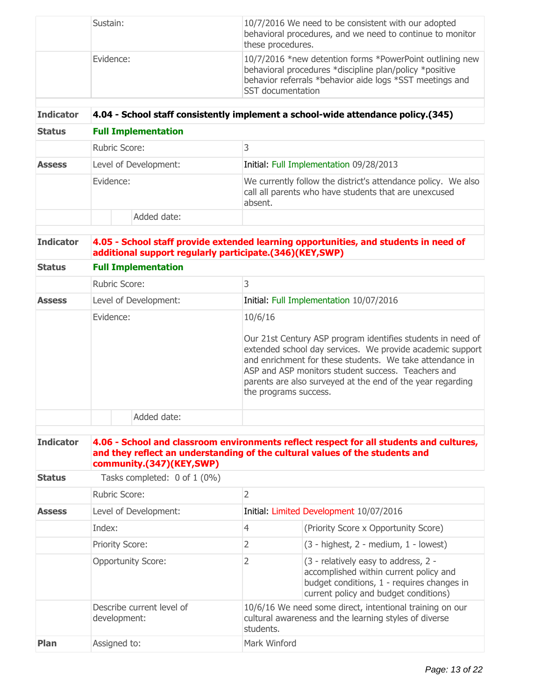| Sustain:  | 10/7/2016 We need to be consistent with our adopted<br>behavioral procedures, and we need to continue to monitor<br>these procedures.                                                                       |
|-----------|-------------------------------------------------------------------------------------------------------------------------------------------------------------------------------------------------------------|
| Evidence: | 10/7/2016 *new detention forms *PowerPoint outlining new<br>behavioral procedures *discipline plan/policy *positive<br>behavior referrals *behavior aide logs *SST meetings and<br><b>SST</b> documentation |

#### **Indicator 4.04 - School staff consistently implement a school-wide attendance policy.(345)**

| <b>Status</b><br><b>Assess</b> | <b>Full Implementation</b> |                                                                                                                                   |  |  |
|--------------------------------|----------------------------|-----------------------------------------------------------------------------------------------------------------------------------|--|--|
|                                | Rubric Score:              |                                                                                                                                   |  |  |
|                                | Level of Development:      | Initial: Full Implementation 09/28/2013                                                                                           |  |  |
|                                | Evidence:                  | We currently follow the district's attendance policy. We also<br>call all parents who have students that are unexcused<br>absent. |  |  |
|                                | Added date:                |                                                                                                                                   |  |  |

# **Indicator 4.05 - School staff provide extended learning opportunities, and students in need of additional support regularly participate.(346)(KEY,SWP)**

| <b>Status</b><br><b>Assess</b> | <b>Full Implementation</b> |                                                                                                                                                                                                                                                                                                                                              |
|--------------------------------|----------------------------|----------------------------------------------------------------------------------------------------------------------------------------------------------------------------------------------------------------------------------------------------------------------------------------------------------------------------------------------|
|                                | <b>Rubric Score:</b>       | 3                                                                                                                                                                                                                                                                                                                                            |
|                                | Level of Development:      | Initial: Full Implementation 10/07/2016                                                                                                                                                                                                                                                                                                      |
|                                | Evidence:                  | 10/6/16<br>Our 21st Century ASP program identifies students in need of<br>extended school day services. We provide academic support<br>and enrichment for these students. We take attendance in<br>ASP and ASP monitors student success. Teachers and<br>parents are also surveyed at the end of the year regarding<br>the programs success. |
|                                | Added date:                |                                                                                                                                                                                                                                                                                                                                              |

#### **Indicator 4.06 - School and classroom environments reflect respect for all students and cultures, and they reflect an understanding of the cultural values of the students and community.(347)(KEY,SWP)**

| Tasks completed: 0 of 1 (0%)<br><b>Status</b> |                                           |                                                                                                                                |                                                                                                                                                                       |  |
|-----------------------------------------------|-------------------------------------------|--------------------------------------------------------------------------------------------------------------------------------|-----------------------------------------------------------------------------------------------------------------------------------------------------------------------|--|
|                                               | Rubric Score:                             | 2                                                                                                                              |                                                                                                                                                                       |  |
| <b>Assess</b>                                 | Level of Development:                     | Initial: Limited Development 10/07/2016                                                                                        |                                                                                                                                                                       |  |
|                                               | Index:                                    | 4                                                                                                                              | (Priority Score x Opportunity Score)                                                                                                                                  |  |
|                                               | <b>Priority Score:</b>                    | 2                                                                                                                              | $(3 - highest, 2 - medium, 1 - lowest)$                                                                                                                               |  |
|                                               | <b>Opportunity Score:</b>                 | 2                                                                                                                              | (3 - relatively easy to address, 2 -<br>accomplished within current policy and<br>budget conditions, 1 - requires changes in<br>current policy and budget conditions) |  |
|                                               | Describe current level of<br>development: | 10/6/16 We need some direct, intentional training on our<br>cultural awareness and the learning styles of diverse<br>students. |                                                                                                                                                                       |  |
| Plan                                          | Assigned to:                              | Mark Winford                                                                                                                   |                                                                                                                                                                       |  |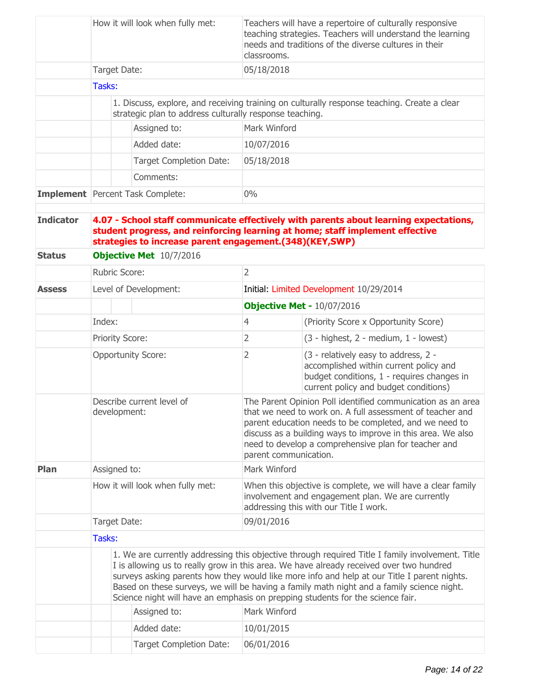|                                   | How it will look when fully met:                                                                                                                                                                                                                                                                                                                                                                                                                                          |                        | Teachers will have a repertoire of culturally responsive<br>teaching strategies. Teachers will understand the learning<br>needs and traditions of the diverse cultures in their<br>classrooms. |                |                                                                                                                                                                       |  |
|-----------------------------------|---------------------------------------------------------------------------------------------------------------------------------------------------------------------------------------------------------------------------------------------------------------------------------------------------------------------------------------------------------------------------------------------------------------------------------------------------------------------------|------------------------|------------------------------------------------------------------------------------------------------------------------------------------------------------------------------------------------|----------------|-----------------------------------------------------------------------------------------------------------------------------------------------------------------------|--|
|                                   |                                                                                                                                                                                                                                                                                                                                                                                                                                                                           | Target Date:           |                                                                                                                                                                                                | 05/18/2018     |                                                                                                                                                                       |  |
|                                   | Tasks:                                                                                                                                                                                                                                                                                                                                                                                                                                                                    |                        |                                                                                                                                                                                                |                |                                                                                                                                                                       |  |
|                                   |                                                                                                                                                                                                                                                                                                                                                                                                                                                                           |                        | strategic plan to address culturally response teaching.                                                                                                                                        |                | 1. Discuss, explore, and receiving training on culturally response teaching. Create a clear                                                                           |  |
|                                   |                                                                                                                                                                                                                                                                                                                                                                                                                                                                           |                        | Assigned to:                                                                                                                                                                                   | Mark Winford   |                                                                                                                                                                       |  |
|                                   |                                                                                                                                                                                                                                                                                                                                                                                                                                                                           |                        | Added date:                                                                                                                                                                                    | 10/07/2016     |                                                                                                                                                                       |  |
|                                   |                                                                                                                                                                                                                                                                                                                                                                                                                                                                           |                        | <b>Target Completion Date:</b>                                                                                                                                                                 | 05/18/2018     |                                                                                                                                                                       |  |
|                                   |                                                                                                                                                                                                                                                                                                                                                                                                                                                                           |                        | Comments:                                                                                                                                                                                      |                |                                                                                                                                                                       |  |
|                                   |                                                                                                                                                                                                                                                                                                                                                                                                                                                                           |                        | Implement   Percent Task Complete:                                                                                                                                                             | $0\%$          |                                                                                                                                                                       |  |
| <b>Indicator</b><br><b>Status</b> | 4.07 - School staff communicate effectively with parents about learning expectations,<br>student progress, and reinforcing learning at home; staff implement effective<br>strategies to increase parent engagement.(348)(KEY,SWP)<br><b>Objective Met</b> 10/7/2016                                                                                                                                                                                                       |                        |                                                                                                                                                                                                |                |                                                                                                                                                                       |  |
|                                   |                                                                                                                                                                                                                                                                                                                                                                                                                                                                           | Rubric Score:          |                                                                                                                                                                                                | $\overline{2}$ |                                                                                                                                                                       |  |
| <b>Assess</b>                     |                                                                                                                                                                                                                                                                                                                                                                                                                                                                           |                        | Level of Development:                                                                                                                                                                          |                | Initial: Limited Development 10/29/2014                                                                                                                               |  |
|                                   |                                                                                                                                                                                                                                                                                                                                                                                                                                                                           |                        |                                                                                                                                                                                                |                | <b>Objective Met - 10/07/2016</b>                                                                                                                                     |  |
|                                   | Index:                                                                                                                                                                                                                                                                                                                                                                                                                                                                    |                        |                                                                                                                                                                                                | $\overline{4}$ | (Priority Score x Opportunity Score)                                                                                                                                  |  |
|                                   |                                                                                                                                                                                                                                                                                                                                                                                                                                                                           | <b>Priority Score:</b> |                                                                                                                                                                                                | $\overline{2}$ | $(3 - highest, 2 - medium, 1 - lowest)$                                                                                                                               |  |
|                                   |                                                                                                                                                                                                                                                                                                                                                                                                                                                                           |                        | <b>Opportunity Score:</b>                                                                                                                                                                      | $\overline{2}$ | (3 - relatively easy to address, 2 -<br>accomplished within current policy and<br>budget conditions, 1 - requires changes in<br>current policy and budget conditions) |  |
|                                   | Describe current level of<br>that we need to work on. A full assessment of teacher and<br>development:<br>parent education needs to be completed, and we need to<br>discuss as a building ways to improve in this area. We also<br>need to develop a comprehensive plan for teacher and<br>parent communication.                                                                                                                                                          |                        | The Parent Opinion Poll identified communication as an area                                                                                                                                    |                |                                                                                                                                                                       |  |
| Plan                              |                                                                                                                                                                                                                                                                                                                                                                                                                                                                           | Assigned to:           |                                                                                                                                                                                                | Mark Winford   |                                                                                                                                                                       |  |
|                                   | How it will look when fully met:                                                                                                                                                                                                                                                                                                                                                                                                                                          |                        | When this objective is complete, we will have a clear family<br>involvement and engagement plan. We are currently<br>addressing this with our Title I work.                                    |                |                                                                                                                                                                       |  |
|                                   |                                                                                                                                                                                                                                                                                                                                                                                                                                                                           | Target Date:           |                                                                                                                                                                                                | 09/01/2016     |                                                                                                                                                                       |  |
|                                   | Tasks:                                                                                                                                                                                                                                                                                                                                                                                                                                                                    |                        |                                                                                                                                                                                                |                |                                                                                                                                                                       |  |
|                                   | 1. We are currently addressing this objective through required Title I family involvement. Title<br>I is allowing us to really grow in this area. We have already received over two hundred<br>surveys asking parents how they would like more info and help at our Title I parent nights.<br>Based on these surveys, we will be having a family math night and a family science night.<br>Science night will have an emphasis on prepping students for the science fair. |                        |                                                                                                                                                                                                |                |                                                                                                                                                                       |  |
|                                   |                                                                                                                                                                                                                                                                                                                                                                                                                                                                           |                        | Assigned to:                                                                                                                                                                                   | Mark Winford   |                                                                                                                                                                       |  |
|                                   |                                                                                                                                                                                                                                                                                                                                                                                                                                                                           |                        | Added date:                                                                                                                                                                                    | 10/01/2015     |                                                                                                                                                                       |  |
|                                   |                                                                                                                                                                                                                                                                                                                                                                                                                                                                           |                        | <b>Target Completion Date:</b>                                                                                                                                                                 | 06/01/2016     |                                                                                                                                                                       |  |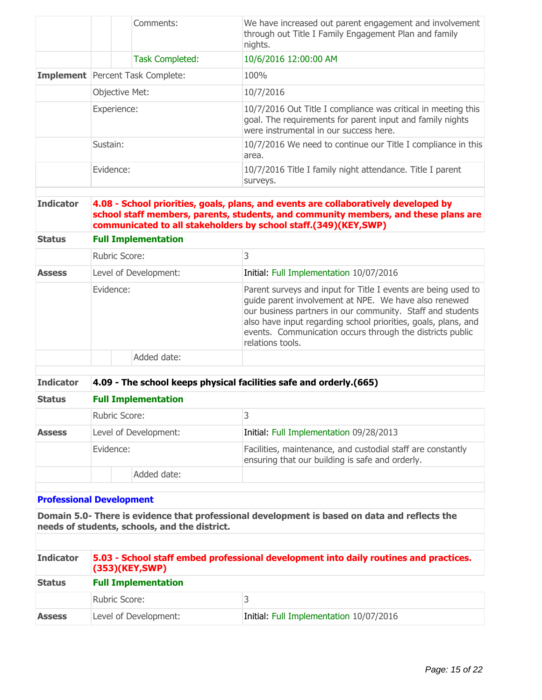|                | Comments:                               | We have increased out parent engagement and involvement<br>through out Title I Family Engagement Plan and family<br>nights.                                          |
|----------------|-----------------------------------------|----------------------------------------------------------------------------------------------------------------------------------------------------------------------|
|                | <b>Task Completed:</b>                  | 10/6/2016 12:00:00 AM                                                                                                                                                |
|                | <b>Implement</b> Percent Task Complete: | 100%                                                                                                                                                                 |
| Objective Met: |                                         | 10/7/2016                                                                                                                                                            |
| Experience:    |                                         | 10/7/2016 Out Title I compliance was critical in meeting this<br>goal. The requirements for parent input and family nights<br>were instrumental in our success here. |
| Sustain:       |                                         | 10/7/2016 We need to continue our Title I compliance in this<br>area.                                                                                                |
| Evidence:      |                                         | 10/7/2016 Title I family night attendance. Title I parent<br>surveys.                                                                                                |
|                |                                         |                                                                                                                                                                      |

**Indicator 4.08 - School priorities, goals, plans, and events are collaboratively developed by school staff members, parents, students, and community members, and these plans are communicated to all stakeholders by school staff.(349)(KEY,SWP)**

| status        | <b>FUIL IMPRIMENTATION</b> |                                                                                                                                                                                                                                                                                                                                         |  |
|---------------|----------------------------|-----------------------------------------------------------------------------------------------------------------------------------------------------------------------------------------------------------------------------------------------------------------------------------------------------------------------------------------|--|
|               | <b>Rubric Score:</b>       | 3                                                                                                                                                                                                                                                                                                                                       |  |
| <b>Assess</b> | Level of Development:      | Initial: Full Implementation 10/07/2016                                                                                                                                                                                                                                                                                                 |  |
|               | Evidence:                  | Parent surveys and input for Title I events are being used to<br>guide parent involvement at NPE. We have also renewed<br>our business partners in our community. Staff and students<br>also have input regarding school priorities, goals, plans, and<br>events. Communication occurs through the districts public<br>relations tools. |  |
|               | Added date:                |                                                                                                                                                                                                                                                                                                                                         |  |

**Indicator 4.09 - The school keeps physical facilities safe and orderly.(665)**

| <b>Status</b> | <b>Full Implementation</b> |                                                                                                                |  |
|---------------|----------------------------|----------------------------------------------------------------------------------------------------------------|--|
|               | <b>Rubric Score:</b>       |                                                                                                                |  |
| <b>Assess</b> | Level of Development:      | Initial: Full Implementation 09/28/2013                                                                        |  |
|               | Evidence:                  | Facilities, maintenance, and custodial staff are constantly<br>ensuring that our building is safe and orderly. |  |
|               | Added date:                |                                                                                                                |  |

#### **Professional Development**

**Status Full Implementation**

**Domain 5.0- There is evidence that professional development is based on data and reflects the needs of students, schools, and the district.**

| <b>Indicator</b> | 5.03 - School staff embed professional development into daily routines and practices.<br>$(353)$ (KEY,SWP)<br><b>Full Implementation</b> |                                         |  |
|------------------|------------------------------------------------------------------------------------------------------------------------------------------|-----------------------------------------|--|
| <b>Status</b>    |                                                                                                                                          |                                         |  |
|                  | Rubric Score:                                                                                                                            |                                         |  |
| <b>Assess</b>    | Level of Development:                                                                                                                    | Initial: Full Implementation 10/07/2016 |  |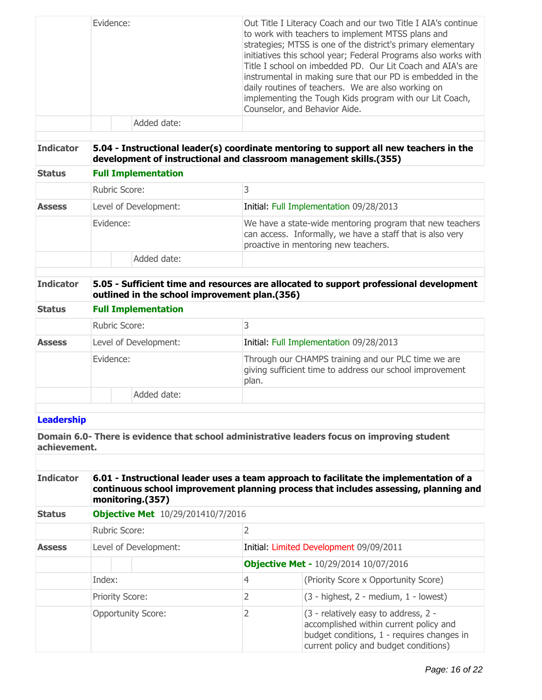|                   | Evidence:            |                            | Out Title I Literacy Coach and our two Title I AIA's continue<br>to work with teachers to implement MTSS plans and<br>strategies; MTSS is one of the district's primary elementary<br>initiatives this school year; Federal Programs also works with<br>Title I school on imbedded PD. Our Lit Coach and AIA's are<br>instrumental in making sure that our PD is embedded in the<br>daily routines of teachers. We are also working on<br>implementing the Tough Kids program with our Lit Coach,<br>Counselor, and Behavior Aide. |
|-------------------|----------------------|----------------------------|------------------------------------------------------------------------------------------------------------------------------------------------------------------------------------------------------------------------------------------------------------------------------------------------------------------------------------------------------------------------------------------------------------------------------------------------------------------------------------------------------------------------------------|
|                   |                      | Added date:                |                                                                                                                                                                                                                                                                                                                                                                                                                                                                                                                                    |
| <b>Indicator</b>  |                      |                            | 5.04 - Instructional leader(s) coordinate mentoring to support all new teachers in the<br>development of instructional and classroom management skills.(355)                                                                                                                                                                                                                                                                                                                                                                       |
| <b>Status</b>     |                      | <b>Full Implementation</b> |                                                                                                                                                                                                                                                                                                                                                                                                                                                                                                                                    |
|                   | <b>Rubric Score:</b> |                            | 3                                                                                                                                                                                                                                                                                                                                                                                                                                                                                                                                  |
| <b>Assess</b>     |                      | Level of Development:      | Initial: Full Implementation 09/28/2013                                                                                                                                                                                                                                                                                                                                                                                                                                                                                            |
|                   | Evidence:            |                            | We have a state-wide mentoring program that new teachers<br>can access. Informally, we have a staff that is also very<br>proactive in mentoring new teachers.                                                                                                                                                                                                                                                                                                                                                                      |
|                   |                      | Added date:                |                                                                                                                                                                                                                                                                                                                                                                                                                                                                                                                                    |
| <b>Indicator</b>  |                      |                            | 5.05 - Sufficient time and resources are allocated to support professional development<br>outlined in the school improvement plan.(356)                                                                                                                                                                                                                                                                                                                                                                                            |
| <b>Status</b>     |                      | <b>Full Implementation</b> |                                                                                                                                                                                                                                                                                                                                                                                                                                                                                                                                    |
|                   | Rubric Score:        |                            | 3                                                                                                                                                                                                                                                                                                                                                                                                                                                                                                                                  |
| <b>Assess</b>     |                      | Level of Development:      | Initial: Full Implementation 09/28/2013                                                                                                                                                                                                                                                                                                                                                                                                                                                                                            |
|                   | Evidence:            |                            | Through our CHAMPS training and our PLC time we are<br>giving sufficient time to address our school improvement<br>plan.                                                                                                                                                                                                                                                                                                                                                                                                           |
|                   |                      | Added date:                |                                                                                                                                                                                                                                                                                                                                                                                                                                                                                                                                    |
|                   |                      |                            |                                                                                                                                                                                                                                                                                                                                                                                                                                                                                                                                    |
| <b>Leadership</b> |                      |                            |                                                                                                                                                                                                                                                                                                                                                                                                                                                                                                                                    |
| achievement.      |                      |                            | Domain 6.0- There is evidence that school administrative leaders focus on improving student                                                                                                                                                                                                                                                                                                                                                                                                                                        |

| <b>Indicator</b> | 6.01 - Instructional leader uses a team approach to facilitate the implementation of a<br>continuous school improvement planning process that includes assessing, planning and<br>monitoring.(357)<br><b>Objective Met</b> 10/29/201410/7/2016 |   |                                                                                                                                                                       |
|------------------|------------------------------------------------------------------------------------------------------------------------------------------------------------------------------------------------------------------------------------------------|---|-----------------------------------------------------------------------------------------------------------------------------------------------------------------------|
| <b>Status</b>    |                                                                                                                                                                                                                                                |   |                                                                                                                                                                       |
|                  | Rubric Score:                                                                                                                                                                                                                                  | 2 |                                                                                                                                                                       |
| <b>Assess</b>    | Level of Development:                                                                                                                                                                                                                          |   | Initial: Limited Development 09/09/2011                                                                                                                               |
|                  |                                                                                                                                                                                                                                                |   | <b>Objective Met - 10/29/2014 10/07/2016</b>                                                                                                                          |
|                  | Index:                                                                                                                                                                                                                                         | 4 | (Priority Score x Opportunity Score)                                                                                                                                  |
|                  | <b>Priority Score:</b>                                                                                                                                                                                                                         | 2 | $(3 - higher, 2 - medium, 1 - lowest)$                                                                                                                                |
|                  | <b>Opportunity Score:</b>                                                                                                                                                                                                                      | 2 | (3 - relatively easy to address, 2 -<br>accomplished within current policy and<br>budget conditions, 1 - requires changes in<br>current policy and budget conditions) |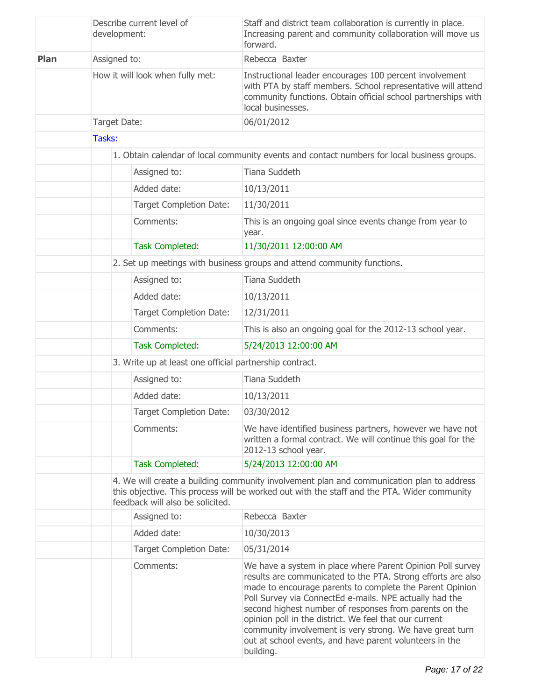|             | Describe current level of<br>development:               |                                                                                             | Staff and district team collaboration is currently in place.<br>Increasing parent and community collaboration will move us<br>forward.                                                                                                                                                                                                                                                                                                                                                                    |  |
|-------------|---------------------------------------------------------|---------------------------------------------------------------------------------------------|-----------------------------------------------------------------------------------------------------------------------------------------------------------------------------------------------------------------------------------------------------------------------------------------------------------------------------------------------------------------------------------------------------------------------------------------------------------------------------------------------------------|--|
| <b>Plan</b> | Assigned to:                                            |                                                                                             | Rebecca Baxter                                                                                                                                                                                                                                                                                                                                                                                                                                                                                            |  |
|             |                                                         | How it will look when fully met:                                                            | Instructional leader encourages 100 percent involvement<br>with PTA by staff members. School representative will attend<br>community functions. Obtain official school partnerships with<br>local businesses.                                                                                                                                                                                                                                                                                             |  |
|             | Target Date:                                            |                                                                                             | 06/01/2012                                                                                                                                                                                                                                                                                                                                                                                                                                                                                                |  |
|             | Tasks:                                                  |                                                                                             |                                                                                                                                                                                                                                                                                                                                                                                                                                                                                                           |  |
|             |                                                         | 1. Obtain calendar of local community events and contact numbers for local business groups. |                                                                                                                                                                                                                                                                                                                                                                                                                                                                                                           |  |
|             |                                                         | Assigned to:                                                                                | Tiana Suddeth                                                                                                                                                                                                                                                                                                                                                                                                                                                                                             |  |
|             |                                                         | Added date:                                                                                 | 10/13/2011                                                                                                                                                                                                                                                                                                                                                                                                                                                                                                |  |
|             |                                                         | <b>Target Completion Date:</b>                                                              | 11/30/2011                                                                                                                                                                                                                                                                                                                                                                                                                                                                                                |  |
|             |                                                         | Comments:                                                                                   | This is an ongoing goal since events change from year to<br>year.                                                                                                                                                                                                                                                                                                                                                                                                                                         |  |
|             |                                                         | <b>Task Completed:</b>                                                                      | 11/30/2011 12:00:00 AM                                                                                                                                                                                                                                                                                                                                                                                                                                                                                    |  |
|             |                                                         |                                                                                             | 2. Set up meetings with business groups and attend community functions.                                                                                                                                                                                                                                                                                                                                                                                                                                   |  |
|             | Assigned to:<br>Added date:                             |                                                                                             | Tiana Suddeth                                                                                                                                                                                                                                                                                                                                                                                                                                                                                             |  |
|             |                                                         |                                                                                             | 10/13/2011                                                                                                                                                                                                                                                                                                                                                                                                                                                                                                |  |
|             |                                                         | <b>Target Completion Date:</b>                                                              | 12/31/2011                                                                                                                                                                                                                                                                                                                                                                                                                                                                                                |  |
|             |                                                         | Comments:                                                                                   | This is also an ongoing goal for the 2012-13 school year.                                                                                                                                                                                                                                                                                                                                                                                                                                                 |  |
|             |                                                         | <b>Task Completed:</b>                                                                      | 5/24/2013 12:00:00 AM                                                                                                                                                                                                                                                                                                                                                                                                                                                                                     |  |
|             | 3. Write up at least one official partnership contract. |                                                                                             |                                                                                                                                                                                                                                                                                                                                                                                                                                                                                                           |  |
|             |                                                         | Assigned to:                                                                                | Tiana Suddeth                                                                                                                                                                                                                                                                                                                                                                                                                                                                                             |  |
|             |                                                         | Added date:                                                                                 | 10/13/2011                                                                                                                                                                                                                                                                                                                                                                                                                                                                                                |  |
|             |                                                         | <b>Target Completion Date:</b>                                                              | 03/30/2012                                                                                                                                                                                                                                                                                                                                                                                                                                                                                                |  |
|             |                                                         | Comments:                                                                                   | We have identified business partners, however we have not<br>written a formal contract. We will continue this goal for the<br>2012-13 school year.                                                                                                                                                                                                                                                                                                                                                        |  |
|             |                                                         | <b>Task Completed:</b>                                                                      | 5/24/2013 12:00:00 AM                                                                                                                                                                                                                                                                                                                                                                                                                                                                                     |  |
|             |                                                         | feedback will also be solicited.                                                            | 4. We will create a building community involvement plan and communication plan to address<br>this objective. This process will be worked out with the staff and the PTA. Wider community                                                                                                                                                                                                                                                                                                                  |  |
|             |                                                         | Assigned to:                                                                                | Rebecca Baxter                                                                                                                                                                                                                                                                                                                                                                                                                                                                                            |  |
|             |                                                         | Added date:                                                                                 | 10/30/2013                                                                                                                                                                                                                                                                                                                                                                                                                                                                                                |  |
|             |                                                         | <b>Target Completion Date:</b>                                                              | 05/31/2014                                                                                                                                                                                                                                                                                                                                                                                                                                                                                                |  |
|             |                                                         | Comments:                                                                                   | We have a system in place where Parent Opinion Poll survey<br>results are communicated to the PTA. Strong efforts are also<br>made to encourage parents to complete the Parent Opinion<br>Poll Survey via ConnectEd e-mails. NPE actually had the<br>second highest number of responses from parents on the<br>opinion poll in the district. We feel that our current<br>community involvement is very strong. We have great turn<br>out at school events, and have parent volunteers in the<br>building. |  |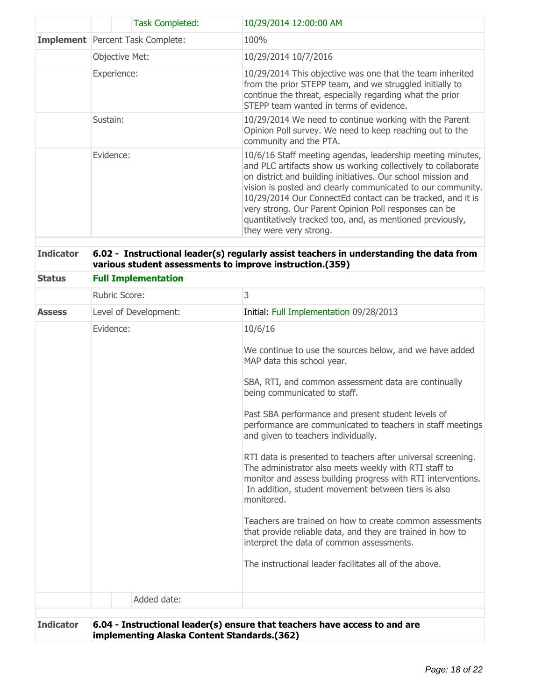|                  | <b>Task Completed:</b>                                   | 10/29/2014 12:00:00 AM                                                                                                                                                                                                                                                                                                                                                                                                                                                   |
|------------------|----------------------------------------------------------|--------------------------------------------------------------------------------------------------------------------------------------------------------------------------------------------------------------------------------------------------------------------------------------------------------------------------------------------------------------------------------------------------------------------------------------------------------------------------|
|                  | Implement   Percent Task Complete:                       | 100%                                                                                                                                                                                                                                                                                                                                                                                                                                                                     |
|                  | Objective Met:                                           | 10/29/2014 10/7/2016                                                                                                                                                                                                                                                                                                                                                                                                                                                     |
|                  | Experience:                                              | 10/29/2014 This objective was one that the team inherited<br>from the prior STEPP team, and we struggled initially to<br>continue the threat, especially regarding what the prior<br>STEPP team wanted in terms of evidence.                                                                                                                                                                                                                                             |
|                  | Sustain:                                                 | 10/29/2014 We need to continue working with the Parent<br>Opinion Poll survey. We need to keep reaching out to the<br>community and the PTA.                                                                                                                                                                                                                                                                                                                             |
|                  | Evidence:                                                | 10/6/16 Staff meeting agendas, leadership meeting minutes,<br>and PLC artifacts show us working collectively to collaborate<br>on district and building initiatives. Our school mission and<br>vision is posted and clearly communicated to our community.<br>10/29/2014 Our ConnectEd contact can be tracked, and it is<br>very strong. Our Parent Opinion Poll responses can be<br>quantitatively tracked too, and, as mentioned previously,<br>they were very strong. |
| <b>Indicator</b> | various student assessments to improve instruction.(359) | 6.02 - Instructional leader(s) regularly assist teachers in understanding the data from                                                                                                                                                                                                                                                                                                                                                                                  |
| <b>Status</b>    | <b>Full Implementation</b>                               |                                                                                                                                                                                                                                                                                                                                                                                                                                                                          |
|                  | Rubric Score:                                            | 3                                                                                                                                                                                                                                                                                                                                                                                                                                                                        |
| <b>Assess</b>    | Level of Development:                                    | Initial: Full Implementation 09/28/2013                                                                                                                                                                                                                                                                                                                                                                                                                                  |
|                  | Evidence:                                                | 10/6/16                                                                                                                                                                                                                                                                                                                                                                                                                                                                  |
|                  |                                                          | We continue to use the sources below, and we have added<br>MAP data this school year.                                                                                                                                                                                                                                                                                                                                                                                    |
|                  |                                                          | SBA, RTI, and common assessment data are continually<br>being communicated to staff.                                                                                                                                                                                                                                                                                                                                                                                     |
|                  |                                                          | Past SBA performance and present student levels of<br>performance are communicated to teachers in staff meetings<br>and given to teachers individually.                                                                                                                                                                                                                                                                                                                  |
|                  |                                                          | RTI data is presented to teachers after universal screening.<br>The administrator also meets weekly with RTI staff to<br>monitor and assess building progress with RTI interventions.<br>In addition, student movement between tiers is also<br>monitored.                                                                                                                                                                                                               |
|                  |                                                          | Teachers are trained on how to create common assessments<br>that provide reliable data, and they are trained in how to<br>interpret the data of common assessments.                                                                                                                                                                                                                                                                                                      |
|                  |                                                          | The instructional leader facilitates all of the above.                                                                                                                                                                                                                                                                                                                                                                                                                   |
|                  | Added date:                                              |                                                                                                                                                                                                                                                                                                                                                                                                                                                                          |
|                  |                                                          |                                                                                                                                                                                                                                                                                                                                                                                                                                                                          |
| <b>Indicator</b> |                                                          | 6.04 - Instructional leader(s) ensure that teachers have access to and are                                                                                                                                                                                                                                                                                                                                                                                               |

**implementing Alaska Content Standards.(362)**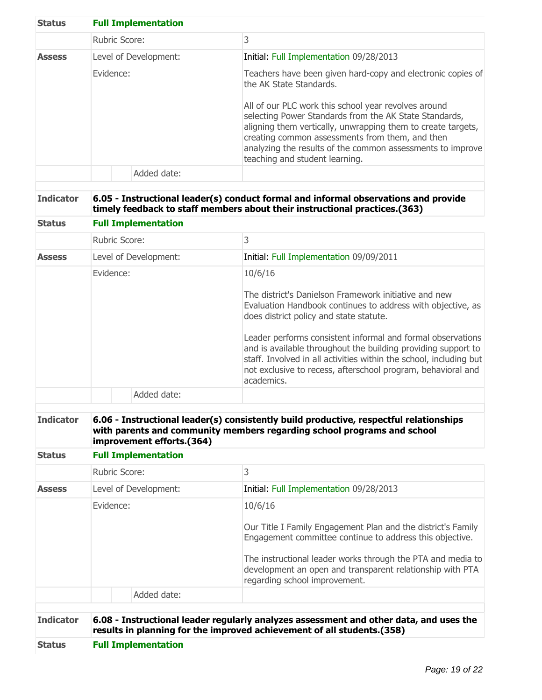| <b>Status</b> | <b>Full Implementation</b> |                                                                                                                                                                                                                                                                                                                                                                                                                             |
|---------------|----------------------------|-----------------------------------------------------------------------------------------------------------------------------------------------------------------------------------------------------------------------------------------------------------------------------------------------------------------------------------------------------------------------------------------------------------------------------|
|               | <b>Rubric Score:</b>       | 3                                                                                                                                                                                                                                                                                                                                                                                                                           |
| <b>Assess</b> | Level of Development:      | Initial: Full Implementation 09/28/2013                                                                                                                                                                                                                                                                                                                                                                                     |
|               | Evidence:                  | Teachers have been given hard-copy and electronic copies of<br>the AK State Standards.<br>All of our PLC work this school year revolves around<br>selecting Power Standards from the AK State Standards,<br>aligning them vertically, unwrapping them to create targets,<br>creating common assessments from them, and then<br>analyzing the results of the common assessments to improve<br>teaching and student learning. |
|               | Added date:                |                                                                                                                                                                                                                                                                                                                                                                                                                             |

# **Indicator 6.05 - Instructional leader(s) conduct formal and informal observations and provide timely feedback to staff members about their instructional practices.(363)**

| <b>Status</b> | <b>Full Implementation</b> |                                                                                                                                                                                                                                                                                                                                                                                                                                                                |
|---------------|----------------------------|----------------------------------------------------------------------------------------------------------------------------------------------------------------------------------------------------------------------------------------------------------------------------------------------------------------------------------------------------------------------------------------------------------------------------------------------------------------|
|               | Rubric Score:              | 3                                                                                                                                                                                                                                                                                                                                                                                                                                                              |
| <b>Assess</b> | Level of Development:      | Initial: Full Implementation 09/09/2011                                                                                                                                                                                                                                                                                                                                                                                                                        |
|               | Evidence:                  | 10/6/16<br>The district's Danielson Framework initiative and new<br>Evaluation Handbook continues to address with objective, as<br>does district policy and state statute.<br>Leader performs consistent informal and formal observations<br>and is available throughout the building providing support to<br>staff. Involved in all activities within the school, including but<br>not exclusive to recess, afterschool program, behavioral and<br>academics. |
|               | Added date:                |                                                                                                                                                                                                                                                                                                                                                                                                                                                                |

## **Indicator 6.06 - Instructional leader(s) consistently build productive, respectful relationships with parents and community members regarding school programs and school improvement efforts.(364)**

#### **Status Full Implementation**

| <b>Status</b>    |           | <b>Full Implementation</b> |                                                                                                                                                                  |
|------------------|-----------|----------------------------|------------------------------------------------------------------------------------------------------------------------------------------------------------------|
| <b>Indicator</b> |           |                            | 6.08 - Instructional leader regularly analyzes assessment and other data, and uses the<br>results in planning for the improved achievement of all students.(358) |
|                  |           | Added date:                |                                                                                                                                                                  |
|                  |           |                            | The instructional leader works through the PTA and media to<br>development an open and transparent relationship with PTA<br>regarding school improvement.        |
|                  | Evidence: |                            | 10/6/16<br>Our Title I Family Engagement Plan and the district's Family<br>Engagement committee continue to address this objective.                              |
| <b>Assess</b>    |           | Level of Development:      | Initial: Full Implementation 09/28/2013                                                                                                                          |
|                  |           | Rubric Score:              | 3                                                                                                                                                                |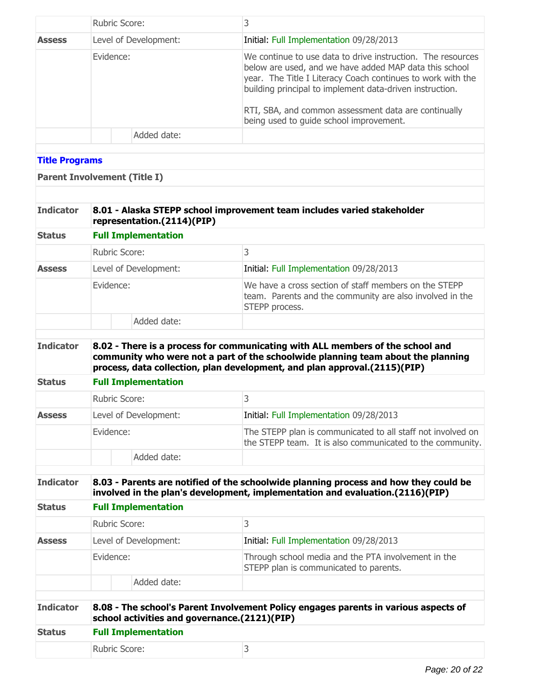|                       | Rubric Score:                       | 3                                                                                                                                                                                                                                                                                                                                                   |
|-----------------------|-------------------------------------|-----------------------------------------------------------------------------------------------------------------------------------------------------------------------------------------------------------------------------------------------------------------------------------------------------------------------------------------------------|
| <b>Assess</b>         | Level of Development:               | Initial: Full Implementation 09/28/2013                                                                                                                                                                                                                                                                                                             |
|                       | Evidence:                           | We continue to use data to drive instruction. The resources<br>below are used, and we have added MAP data this school<br>year. The Title I Literacy Coach continues to work with the<br>building principal to implement data-driven instruction.<br>RTI, SBA, and common assessment data are continually<br>being used to guide school improvement. |
|                       | Added date:                         |                                                                                                                                                                                                                                                                                                                                                     |
|                       |                                     |                                                                                                                                                                                                                                                                                                                                                     |
| <b>Title Programs</b> |                                     |                                                                                                                                                                                                                                                                                                                                                     |
|                       | <b>Parent Involvement (Title I)</b> |                                                                                                                                                                                                                                                                                                                                                     |

# **Indicator 8.01 - Alaska STEPP school improvement team includes varied stakeholder representation.(2114)(PIP)**

| <b>Status</b><br><b>Assess</b> | <b>Full Implementation</b> |                                                                                                                                     |  |
|--------------------------------|----------------------------|-------------------------------------------------------------------------------------------------------------------------------------|--|
|                                | <b>Rubric Score:</b>       |                                                                                                                                     |  |
|                                | Level of Development:      | Initial: Full Implementation 09/28/2013                                                                                             |  |
|                                | Evidence:                  | We have a cross section of staff members on the STEPP<br>team. Parents and the community are also involved in the<br>STEPP process. |  |
|                                | Added date:                |                                                                                                                                     |  |
|                                |                            |                                                                                                                                     |  |

#### **Indicator 8.02 - There is a process for communicating with ALL members of the school and community who were not a part of the schoolwide planning team about the planning process, data collection, plan development, and plan approval.(2115)(PIP)**

# **Status Full Implementation**

|               | Rubric Score:         |                                                                                                                          |
|---------------|-----------------------|--------------------------------------------------------------------------------------------------------------------------|
| <b>Assess</b> | Level of Development: | Initial: Full Implementation 09/28/2013                                                                                  |
|               | Evidence:             | The STEPP plan is communicated to all staff not involved on<br>the STEPP team. It is also communicated to the community. |
|               | Added date:           |                                                                                                                          |

# **Indicator 8.03 - Parents are notified of the schoolwide planning process and how they could be involved in the plan's development, implementation and evaluation.(2116)(PIP) Status Full Implementation**

|                  | Rubric Score:                                                                       |             |                                                                                               |
|------------------|-------------------------------------------------------------------------------------|-------------|-----------------------------------------------------------------------------------------------|
| <b>Assess</b>    | Level of Development:                                                               |             | Initial: Full Implementation 09/28/2013                                                       |
|                  | Evidence:                                                                           |             | Through school media and the PTA involvement in the<br>STEPP plan is communicated to parents. |
|                  |                                                                                     | Added date: |                                                                                               |
|                  |                                                                                     |             |                                                                                               |
| <b>Indicator</b> | 8.08 - The school's Parent Involvement Policy engages parents in various aspects of |             |                                                                                               |

| THAICACOL     | o.vo - The School S Parent Involvement Policy engages parents in various aspects of<br>school activities and governance.(2121)(PIP)<br><b>Full Implementation</b> |  |  |
|---------------|-------------------------------------------------------------------------------------------------------------------------------------------------------------------|--|--|
| <b>Status</b> |                                                                                                                                                                   |  |  |
|               | Rubric Score:                                                                                                                                                     |  |  |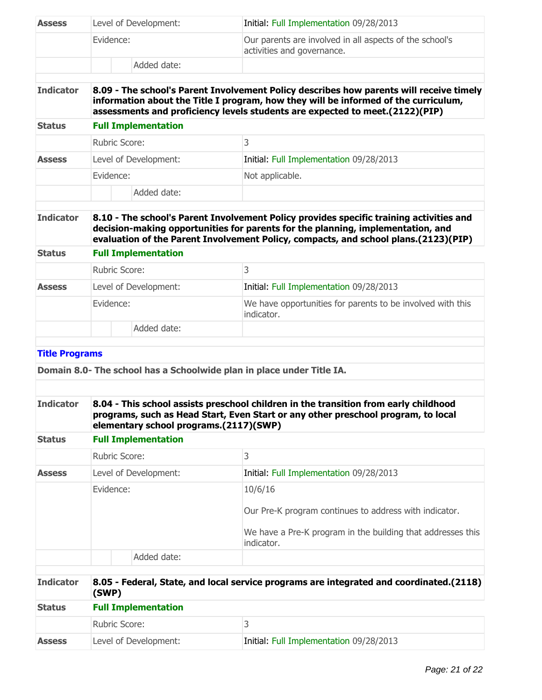| <b>Assess</b>         | Level of Development:                                                                                                                                                                                               |                                                                                         | Initial: Full Implementation 09/28/2013                                                                                                                                                                                                                           |
|-----------------------|---------------------------------------------------------------------------------------------------------------------------------------------------------------------------------------------------------------------|-----------------------------------------------------------------------------------------|-------------------------------------------------------------------------------------------------------------------------------------------------------------------------------------------------------------------------------------------------------------------|
|                       | Evidence:                                                                                                                                                                                                           |                                                                                         | Our parents are involved in all aspects of the school's<br>activities and governance.                                                                                                                                                                             |
|                       |                                                                                                                                                                                                                     | Added date:                                                                             |                                                                                                                                                                                                                                                                   |
| <b>Indicator</b>      |                                                                                                                                                                                                                     |                                                                                         | 8.09 - The school's Parent Involvement Policy describes how parents will receive timely<br>information about the Title I program, how they will be informed of the curriculum,<br>assessments and proficiency levels students are expected to meet.(2122)(PIP)    |
| <b>Status</b>         |                                                                                                                                                                                                                     | <b>Full Implementation</b>                                                              |                                                                                                                                                                                                                                                                   |
|                       | Rubric Score:                                                                                                                                                                                                       |                                                                                         | 3                                                                                                                                                                                                                                                                 |
| <b>Assess</b>         |                                                                                                                                                                                                                     | Level of Development:                                                                   | Initial: Full Implementation 09/28/2013                                                                                                                                                                                                                           |
|                       | Evidence:                                                                                                                                                                                                           |                                                                                         | Not applicable.                                                                                                                                                                                                                                                   |
|                       |                                                                                                                                                                                                                     | Added date:                                                                             |                                                                                                                                                                                                                                                                   |
| <b>Indicator</b>      |                                                                                                                                                                                                                     |                                                                                         | 8.10 - The school's Parent Involvement Policy provides specific training activities and<br>decision-making opportunities for parents for the planning, implementation, and<br>evaluation of the Parent Involvement Policy, compacts, and school plans.(2123)(PIP) |
| <b>Status</b>         |                                                                                                                                                                                                                     | <b>Full Implementation</b>                                                              |                                                                                                                                                                                                                                                                   |
|                       | <b>Rubric Score:</b>                                                                                                                                                                                                |                                                                                         | 3                                                                                                                                                                                                                                                                 |
| <b>Assess</b>         |                                                                                                                                                                                                                     | Level of Development:                                                                   | Initial: Full Implementation 09/28/2013                                                                                                                                                                                                                           |
|                       | Evidence:                                                                                                                                                                                                           |                                                                                         | We have opportunities for parents to be involved with this<br>indicator.                                                                                                                                                                                          |
|                       |                                                                                                                                                                                                                     | Added date:                                                                             |                                                                                                                                                                                                                                                                   |
| <b>Title Programs</b> |                                                                                                                                                                                                                     |                                                                                         |                                                                                                                                                                                                                                                                   |
|                       |                                                                                                                                                                                                                     |                                                                                         | Domain 8.0- The school has a Schoolwide plan in place under Title IA.                                                                                                                                                                                             |
|                       |                                                                                                                                                                                                                     |                                                                                         |                                                                                                                                                                                                                                                                   |
| <b>Indicator</b>      | 8.04 - This school assists preschool children in the transition from early childhood<br>programs, such as Head Start, Even Start or any other preschool program, to local<br>elementary school programs.(2117)(SWP) |                                                                                         |                                                                                                                                                                                                                                                                   |
| <b>Status</b>         |                                                                                                                                                                                                                     | <b>Full Implementation</b>                                                              |                                                                                                                                                                                                                                                                   |
|                       | Rubric Score:                                                                                                                                                                                                       |                                                                                         | 3                                                                                                                                                                                                                                                                 |
| <b>Assess</b>         |                                                                                                                                                                                                                     | Level of Development:                                                                   | Initial: Full Implementation 09/28/2013                                                                                                                                                                                                                           |
|                       | Evidence:                                                                                                                                                                                                           |                                                                                         | 10/6/16                                                                                                                                                                                                                                                           |
|                       |                                                                                                                                                                                                                     |                                                                                         | Our Pre-K program continues to address with indicator.                                                                                                                                                                                                            |
|                       |                                                                                                                                                                                                                     |                                                                                         | We have a Pre-K program in the building that addresses this<br>indicator.                                                                                                                                                                                         |
|                       |                                                                                                                                                                                                                     | Added date:                                                                             |                                                                                                                                                                                                                                                                   |
| <b>Indicator</b>      | (SWP)                                                                                                                                                                                                               | 8.05 - Federal, State, and local service programs are integrated and coordinated.(2118) |                                                                                                                                                                                                                                                                   |
| <b>Status</b>         | <b>Full Implementation</b>                                                                                                                                                                                          |                                                                                         |                                                                                                                                                                                                                                                                   |

| -------       |                       |                                         |  |
|---------------|-----------------------|-----------------------------------------|--|
|               | Rubric Score:         |                                         |  |
| <b>Assess</b> | Level of Development: | Initial: Full Implementation 09/28/2013 |  |